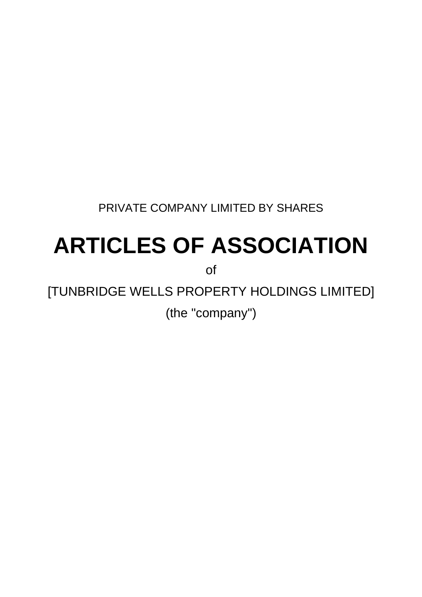PRIVATE COMPANY LIMITED BY SHARES

# **ARTICLES OF ASSOCIATION**

of

[TUNBRIDGE WELLS PROPERTY HOLDINGS LIMITED] (the "company")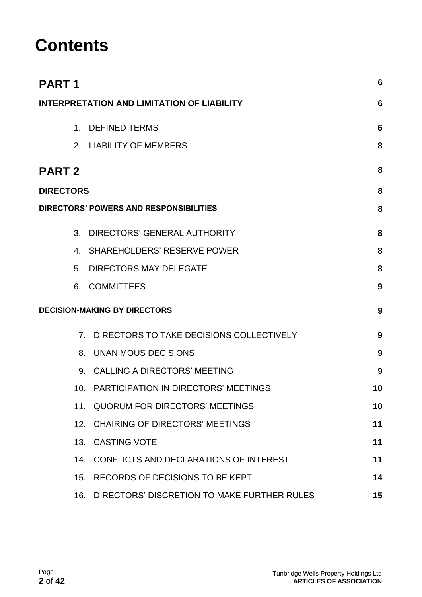# **Contents**

| <b>PART1</b>     |                                                   | 6  |
|------------------|---------------------------------------------------|----|
|                  | <b>INTERPRETATION AND LIMITATION OF LIABILITY</b> | 6  |
|                  | 1. DEFINED TERMS                                  | 6  |
|                  | 2. LIABILITY OF MEMBERS                           | 8  |
| <b>PART 2</b>    |                                                   | 8  |
| <b>DIRECTORS</b> |                                                   | 8  |
|                  | DIRECTORS' POWERS AND RESPONSIBILITIES            | 8  |
|                  | 3. DIRECTORS' GENERAL AUTHORITY                   | 8  |
|                  | 4. SHAREHOLDERS' RESERVE POWER                    | 8  |
|                  | 5. DIRECTORS MAY DELEGATE                         | 8  |
|                  | 6. COMMITTEES                                     | 9  |
|                  | <b>DECISION-MAKING BY DIRECTORS</b>               | 9  |
|                  | 7. DIRECTORS TO TAKE DECISIONS COLLECTIVELY       | 9  |
|                  | 8. UNANIMOUS DECISIONS                            | 9  |
|                  | 9. CALLING A DIRECTORS' MEETING                   | 9  |
|                  | 10. PARTICIPATION IN DIRECTORS' MEETINGS          | 10 |
|                  | 11. QUORUM FOR DIRECTORS' MEETINGS                | 10 |
|                  | 12. CHAIRING OF DIRECTORS' MEETINGS               | 11 |
|                  | 13. CASTING VOTE                                  | 11 |
|                  | 14. CONFLICTS AND DECLARATIONS OF INTEREST        | 11 |
| 15.              | RECORDS OF DECISIONS TO BE KEPT                   | 14 |
| 16.              | DIRECTORS' DISCRETION TO MAKE FURTHER RULES       | 15 |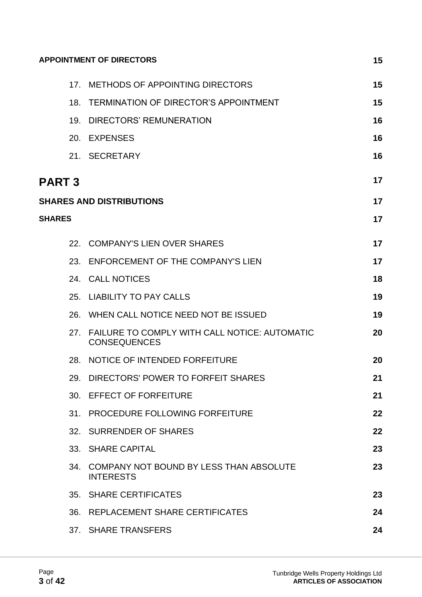| <b>APPOINTMENT OF DIRECTORS</b><br>15 |                                                                      |    |
|---------------------------------------|----------------------------------------------------------------------|----|
|                                       | 17. METHODS OF APPOINTING DIRECTORS                                  | 15 |
| 18.                                   | TERMINATION OF DIRECTOR'S APPOINTMENT                                | 15 |
|                                       | 19. DIRECTORS' REMUNERATION                                          | 16 |
|                                       | 20. EXPENSES                                                         | 16 |
|                                       | 21. SECRETARY                                                        | 16 |
| <b>PART 3</b>                         |                                                                      | 17 |
|                                       | <b>SHARES AND DISTRIBUTIONS</b>                                      | 17 |
| <b>SHARES</b>                         |                                                                      | 17 |
|                                       | 22. COMPANY'S LIEN OVER SHARES                                       | 17 |
| 23.                                   | ENFORCEMENT OF THE COMPANY'S LIEN                                    | 17 |
|                                       | 24. CALL NOTICES                                                     | 18 |
|                                       | 25. LIABILITY TO PAY CALLS                                           | 19 |
| 26.                                   | WHEN CALL NOTICE NEED NOT BE ISSUED                                  | 19 |
| 27.                                   | FAILURE TO COMPLY WITH CALL NOTICE: AUTOMATIC<br><b>CONSEQUENCES</b> | 20 |
| 28.                                   | NOTICE OF INTENDED FORFEITURE                                        | 20 |
|                                       | 29. DIRECTORS' POWER TO FORFEIT SHARES                               | 21 |
|                                       | 30. EFFECT OF FORFEITURE                                             | 21 |
|                                       | 31. PROCEDURE FOLLOWING FORFEITURE                                   | 22 |
|                                       | 32. SURRENDER OF SHARES                                              | 22 |
|                                       | 33. SHARE CAPITAL                                                    | 23 |
| 34.                                   | COMPANY NOT BOUND BY LESS THAN ABSOLUTE<br><b>INTERESTS</b>          | 23 |
|                                       | 35. SHARE CERTIFICATES                                               | 23 |
| 36.                                   | REPLACEMENT SHARE CERTIFICATES                                       | 24 |
|                                       | 37. SHARE TRANSFERS                                                  | 24 |
|                                       |                                                                      |    |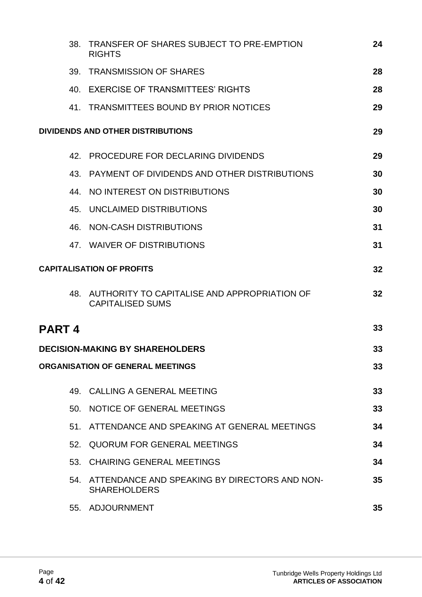|        | 38. | TRANSFER OF SHARES SUBJECT TO PRE-EMPTION<br><b>RIGHTS</b>               | 24 |
|--------|-----|--------------------------------------------------------------------------|----|
|        | 39. | <b>TRANSMISSION OF SHARES</b>                                            | 28 |
|        |     | 40. EXERCISE OF TRANSMITTEES' RIGHTS                                     | 28 |
|        |     | 41. TRANSMITTEES BOUND BY PRIOR NOTICES                                  | 29 |
|        |     | DIVIDENDS AND OTHER DISTRIBUTIONS                                        | 29 |
|        | 42. | <b>PROCEDURE FOR DECLARING DIVIDENDS</b>                                 | 29 |
|        | 43. | PAYMENT OF DIVIDENDS AND OTHER DISTRIBUTIONS                             | 30 |
|        | 44. | NO INTEREST ON DISTRIBUTIONS                                             | 30 |
|        |     | 45. UNCLAIMED DISTRIBUTIONS                                              | 30 |
|        | 46. | NON-CASH DISTRIBUTIONS                                                   | 31 |
|        |     | 47. WAIVER OF DISTRIBUTIONS                                              | 31 |
|        |     | <b>CAPITALISATION OF PROFITS</b>                                         | 32 |
|        | 48. | AUTHORITY TO CAPITALISE AND APPROPRIATION OF<br><b>CAPITALISED SUMS</b>  | 32 |
| PART 4 |     |                                                                          | 33 |
|        |     | <b>DECISION-MAKING BY SHAREHOLDERS</b>                                   | 33 |
|        |     | <b>ORGANISATION OF GENERAL MEETINGS</b>                                  | 33 |
|        |     | 49. CALLING A GENERAL MEETING                                            | 33 |
|        |     | 50. NOTICE OF GENERAL MEETINGS                                           | 33 |
|        |     | 51. ATTENDANCE AND SPEAKING AT GENERAL MEETINGS                          | 34 |
|        | 52. | QUORUM FOR GENERAL MEETINGS                                              | 34 |
|        |     | 53. CHAIRING GENERAL MEETINGS                                            | 34 |
|        |     | 54. ATTENDANCE AND SPEAKING BY DIRECTORS AND NON-<br><b>SHAREHOLDERS</b> | 35 |
|        |     | 55. ADJOURNMENT                                                          | 35 |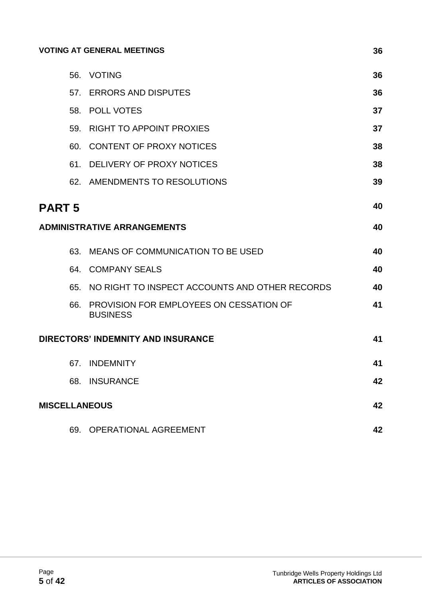#### **[VOTING AT GENERAL MEETINGS](#page-35-0) 36**

|               |     | 56. VOTING                                                 | 36 |
|---------------|-----|------------------------------------------------------------|----|
|               |     | 57. ERRORS AND DISPUTES                                    | 36 |
|               |     | 58. POLL VOTES                                             | 37 |
|               | 59. | <b>RIGHT TO APPOINT PROXIES</b>                            | 37 |
|               |     | 60. CONTENT OF PROXY NOTICES                               | 38 |
|               |     | 61. DELIVERY OF PROXY NOTICES                              | 38 |
|               |     | 62. AMENDMENTS TO RESOLUTIONS                              | 39 |
| <b>PART 5</b> |     |                                                            | 40 |
|               |     | <b>ADMINISTRATIVE ARRANGEMENTS</b>                         | 40 |
|               | 63. | MEANS OF COMMUNICATION TO BE USED                          | 40 |
|               |     | 64. COMPANY SEALS                                          | 40 |
|               |     | 65. NO RIGHT TO INSPECT ACCOUNTS AND OTHER RECORDS         | 40 |
|               | 66. | PROVISION FOR EMPLOYEES ON CESSATION OF<br><b>BUSINESS</b> | 41 |
|               |     | DIRECTORS' INDEMNITY AND INSURANCE                         | 41 |
|               |     | 67. INDEMNITY                                              | 41 |
|               | 68. | <b>INSURANCE</b>                                           | 42 |
|               |     | <b>MISCELLANEOUS</b>                                       | 42 |
|               | 69. | OPERATIONAL AGREEMENT                                      | 42 |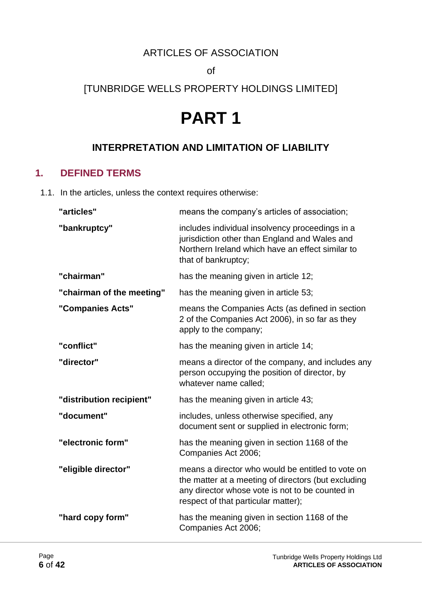# ARTICLES OF ASSOCIATION

of

# <span id="page-5-0"></span>[TUNBRIDGE WELLS PROPERTY HOLDINGS LIMITED]

# **PART 1**

# **INTERPRETATION AND LIMITATION OF LIABILITY**

#### <span id="page-5-1"></span>**1. DEFINED TERMS**

1.1. In the articles, unless the context requires otherwise:

| "articles"                | means the company's articles of association;                                                                                                                                                       |
|---------------------------|----------------------------------------------------------------------------------------------------------------------------------------------------------------------------------------------------|
| "bankruptcy"              | includes individual insolvency proceedings in a<br>jurisdiction other than England and Wales and<br>Northern Ireland which have an effect similar to<br>that of bankruptcy;                        |
| "chairman"                | has the meaning given in article 12;                                                                                                                                                               |
| "chairman of the meeting" | has the meaning given in article 53;                                                                                                                                                               |
| "Companies Acts"          | means the Companies Acts (as defined in section<br>2 of the Companies Act 2006), in so far as they<br>apply to the company;                                                                        |
| "conflict"                | has the meaning given in article 14;                                                                                                                                                               |
| "director"                | means a director of the company, and includes any<br>person occupying the position of director, by<br>whatever name called;                                                                        |
| "distribution recipient"  | has the meaning given in article 43;                                                                                                                                                               |
| "document"                | includes, unless otherwise specified, any<br>document sent or supplied in electronic form;                                                                                                         |
| "electronic form"         | has the meaning given in section 1168 of the<br>Companies Act 2006;                                                                                                                                |
| "eligible director"       | means a director who would be entitled to vote on<br>the matter at a meeting of directors (but excluding<br>any director whose vote is not to be counted in<br>respect of that particular matter); |
| "hard copy form"          | has the meaning given in section 1168 of the<br>Companies Act 2006;                                                                                                                                |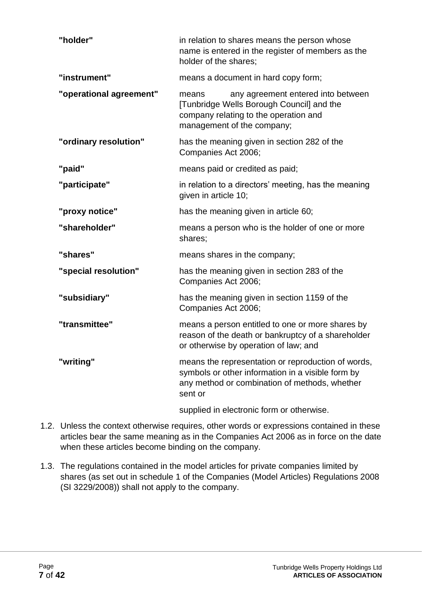| "holder"                | in relation to shares means the person whose<br>name is entered in the register of members as the<br>holder of the shares;                                          |
|-------------------------|---------------------------------------------------------------------------------------------------------------------------------------------------------------------|
| "instrument"            | means a document in hard copy form;                                                                                                                                 |
| "operational agreement" | any agreement entered into between<br>means<br>[Tunbridge Wells Borough Council] and the<br>company relating to the operation and<br>management of the company;     |
| "ordinary resolution"   | has the meaning given in section 282 of the<br>Companies Act 2006;                                                                                                  |
| "paid"                  | means paid or credited as paid;                                                                                                                                     |
| "participate"           | in relation to a directors' meeting, has the meaning<br>given in article 10;                                                                                        |
| "proxy notice"          | has the meaning given in article 60;                                                                                                                                |
| "shareholder"           | means a person who is the holder of one or more<br>shares;                                                                                                          |
| "shares"                | means shares in the company;                                                                                                                                        |
| "special resolution"    | has the meaning given in section 283 of the<br>Companies Act 2006;                                                                                                  |
| "subsidiary"            | has the meaning given in section 1159 of the<br>Companies Act 2006;                                                                                                 |
| "transmittee"           | means a person entitled to one or more shares by<br>reason of the death or bankruptcy of a shareholder<br>or otherwise by operation of law; and                     |
| "writing"               | means the representation or reproduction of words,<br>symbols or other information in a visible form by<br>any method or combination of methods, whether<br>sent or |
|                         | supplied in electronic form or otherwise.                                                                                                                           |

- 1.2. Unless the context otherwise requires, other words or expressions contained in these articles bear the same meaning as in the Companies Act 2006 as in force on the date when these articles become binding on the company.
- 1.3. The regulations contained in the model articles for private companies limited by shares (as set out in schedule 1 of the Companies (Model Articles) Regulations 2008 (SI 3229/2008)) shall not apply to the company.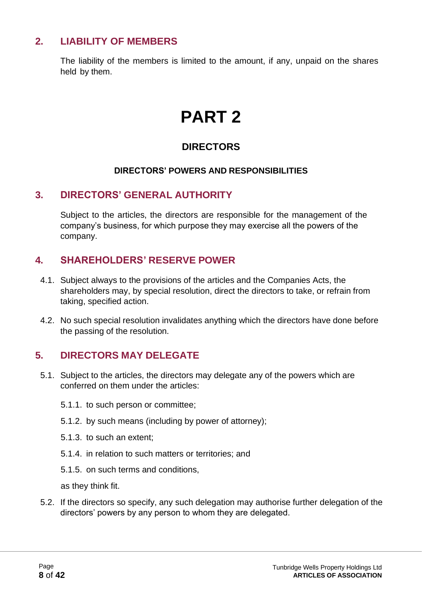# <span id="page-7-0"></span>**2. LIABILITY OF MEMBERS**

<span id="page-7-1"></span>The liability of the members is limited to the amount, if any, unpaid on the shares held by them.

# **PART 2**

# **DIRECTORS**

#### **DIRECTORS' POWERS AND RESPONSIBILITIES**

#### <span id="page-7-2"></span>**3. DIRECTORS' GENERAL AUTHORITY**

Subject to the articles, the directors are responsible for the management of the company's business, for which purpose they may exercise all the powers of the company.

#### <span id="page-7-3"></span>**4. SHAREHOLDERS' RESERVE POWER**

- 4.1. Subject always to the provisions of the articles and the Companies Acts, the shareholders may, by special resolution, direct the directors to take, or refrain from taking, specified action.
- 4.2. No such special resolution invalidates anything which the directors have done before the passing of the resolution.

# <span id="page-7-4"></span>**5. DIRECTORS MAY DELEGATE**

- 5.1. Subject to the articles, the directors may delegate any of the powers which are conferred on them under the articles:
	- 5.1.1. to such person or committee;
	- 5.1.2. by such means (including by power of attorney);
	- 5.1.3. to such an extent;
	- 5.1.4. in relation to such matters or territories; and
	- 5.1.5. on such terms and conditions,

as they think fit.

5.2. If the directors so specify, any such delegation may authorise further delegation of the directors' powers by any person to whom they are delegated.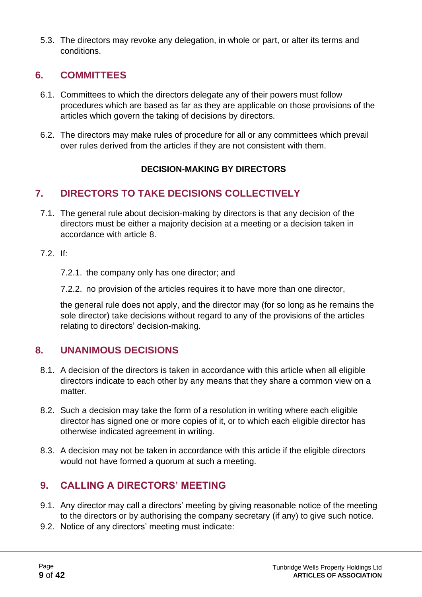5.3. The directors may revoke any delegation, in whole or part, or alter its terms and conditions.

# <span id="page-8-0"></span>**6. COMMITTEES**

- 6.1. Committees to which the directors delegate any of their powers must follow procedures which are based as far as they are applicable on those provisions of the articles which govern the taking of decisions by directors.
- 6.2. The directors may make rules of procedure for all or any committees which prevail over rules derived from the articles if they are not consistent with them.

#### **DECISION-MAKING BY DIRECTORS**

# <span id="page-8-1"></span>**7. DIRECTORS TO TAKE DECISIONS COLLECTIVELY**

- 7.1. The general rule about decision-making by directors is that any decision of the directors must be either a majority decision at a meeting or a decision taken in accordance with article 8.
- 7.2. If:
	- 7.2.1. the company only has one director; and
	- 7.2.2. no provision of the articles requires it to have more than one director,

the general rule does not apply, and the director may (for so long as he remains the sole director) take decisions without regard to any of the provisions of the articles relating to directors' decision-making.

#### <span id="page-8-2"></span>**8. UNANIMOUS DECISIONS**

- 8.1. A decision of the directors is taken in accordance with this article when all eligible directors indicate to each other by any means that they share a common view on a matter.
- 8.2. Such a decision may take the form of a resolution in writing where each eligible director has signed one or more copies of it, or to which each eligible director has otherwise indicated agreement in writing.
- 8.3. A decision may not be taken in accordance with this article if the eligible directors would not have formed a quorum at such a meeting.

# <span id="page-8-3"></span>**9. CALLING A DIRECTORS' MEETING**

- 9.1. Any director may call a directors' meeting by giving reasonable notice of the meeting to the directors or by authorising the company secretary (if any) to give such notice.
- 9.2. Notice of any directors' meeting must indicate: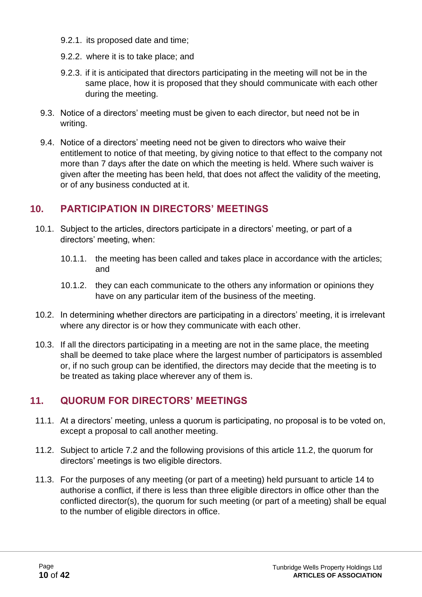- 9.2.1. its proposed date and time;
- 9.2.2. where it is to take place; and
- 9.2.3. if it is anticipated that directors participating in the meeting will not be in the same place, how it is proposed that they should communicate with each other during the meeting.
- 9.3. Notice of a directors' meeting must be given to each director, but need not be in writing.
- 9.4. Notice of a directors' meeting need not be given to directors who waive their entitlement to notice of that meeting, by giving notice to that effect to the company not more than 7 days after the date on which the meeting is held. Where such waiver is given after the meeting has been held, that does not affect the validity of the meeting, or of any business conducted at it.

# <span id="page-9-0"></span>**10. PARTICIPATION IN DIRECTORS' MEETINGS**

- 10.1. Subject to the articles, directors participate in a directors' meeting, or part of a directors' meeting, when:
	- 10.1.1. the meeting has been called and takes place in accordance with the articles; and
	- 10.1.2. they can each communicate to the others any information or opinions they have on any particular item of the business of the meeting.
- 10.2. In determining whether directors are participating in a directors' meeting, it is irrelevant where any director is or how they communicate with each other.
- 10.3. If all the directors participating in a meeting are not in the same place, the meeting shall be deemed to take place where the largest number of participators is assembled or, if no such group can be identified, the directors may decide that the meeting is to be treated as taking place wherever any of them is.

# <span id="page-9-1"></span>**11. QUORUM FOR DIRECTORS' MEETINGS**

- 11.1. At a directors' meeting, unless a quorum is participating, no proposal is to be voted on, except a proposal to call another meeting.
- 11.2. Subject to article 7.2 and the following provisions of this article 11.2, the quorum for directors' meetings is two eligible directors.
- 11.3. For the purposes of any meeting (or part of a meeting) held pursuant to article 14 to authorise a conflict, if there is less than three eligible directors in office other than the conflicted director(s), the quorum for such meeting (or part of a meeting) shall be equal to the number of eligible directors in office.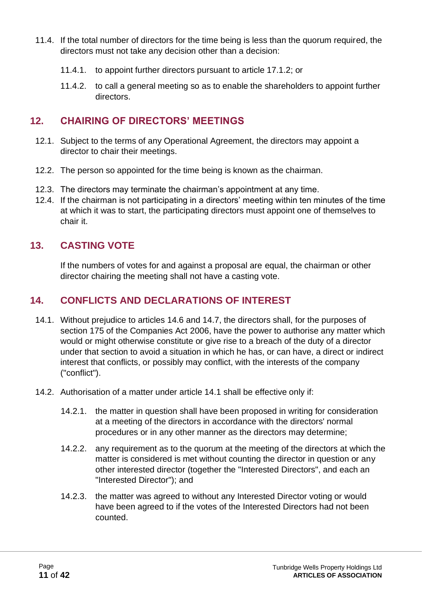- 11.4. If the total number of directors for the time being is less than the quorum required, the directors must not take any decision other than a decision:
	- 11.4.1. to appoint further directors pursuant to article 17.1.2; or
	- 11.4.2. to call a general meeting so as to enable the shareholders to appoint further directors.

#### <span id="page-10-0"></span>**12. CHAIRING OF DIRECTORS' MEETINGS**

- 12.1. Subject to the terms of any Operational Agreement, the directors may appoint a director to chair their meetings.
- 12.2. The person so appointed for the time being is known as the chairman.
- 12.3. The directors may terminate the chairman's appointment at any time.
- 12.4. If the chairman is not participating in a directors' meeting within ten minutes of the time at which it was to start, the participating directors must appoint one of themselves to chair it.

#### <span id="page-10-1"></span>**13. CASTING VOTE**

If the numbers of votes for and against a proposal are equal, the chairman or other director chairing the meeting shall not have a casting vote.

#### <span id="page-10-2"></span>**14. CONFLICTS AND DECLARATIONS OF INTEREST**

- 14.1. Without prejudice to articles 14.6 and 14.7, the directors shall, for the purposes of section 175 of the Companies Act 2006, have the power to authorise any matter which would or might otherwise constitute or give rise to a breach of the duty of a director under that section to avoid a situation in which he has, or can have, a direct or indirect interest that conflicts, or possibly may conflict, with the interests of the company ("conflict").
- 14.2. Authorisation of a matter under article 14.1 shall be effective only if:
	- 14.2.1. the matter in question shall have been proposed in writing for consideration at a meeting of the directors in accordance with the directors' normal procedures or in any other manner as the directors may determine;
	- 14.2.2. any requirement as to the quorum at the meeting of the directors at which the matter is considered is met without counting the director in question or any other interested director (together the "Interested Directors", and each an "Interested Director"); and
	- 14.2.3. the matter was agreed to without any Interested Director voting or would have been agreed to if the votes of the Interested Directors had not been counted.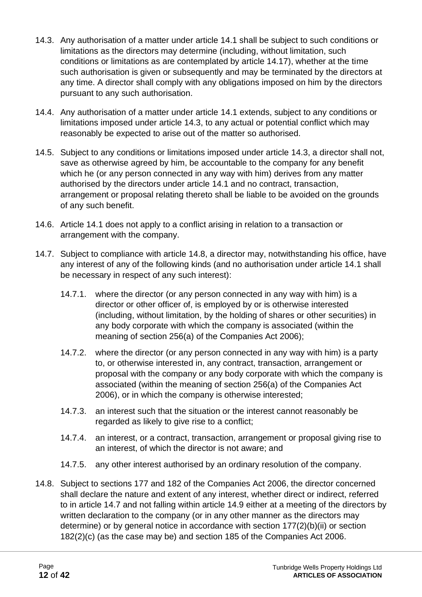- 14.3. Any authorisation of a matter under article 14.1 shall be subject to such conditions or limitations as the directors may determine (including, without limitation, such conditions or limitations as are contemplated by article 14.17), whether at the time such authorisation is given or subsequently and may be terminated by the directors at any time. A director shall comply with any obligations imposed on him by the directors pursuant to any such authorisation.
- 14.4. Any authorisation of a matter under article 14.1 extends, subject to any conditions or limitations imposed under article 14.3, to any actual or potential conflict which may reasonably be expected to arise out of the matter so authorised.
- 14.5. Subject to any conditions or limitations imposed under article 14.3, a director shall not, save as otherwise agreed by him, be accountable to the company for any benefit which he (or any person connected in any way with him) derives from any matter authorised by the directors under article 14.1 and no contract, transaction, arrangement or proposal relating thereto shall be liable to be avoided on the grounds of any such benefit.
- 14.6. Article 14.1 does not apply to a conflict arising in relation to a transaction or arrangement with the company.
- 14.7. Subject to compliance with article 14.8, a director may, notwithstanding his office, have any interest of any of the following kinds (and no authorisation under article 14.1 shall be necessary in respect of any such interest):
	- 14.7.1. where the director (or any person connected in any way with him) is a director or other officer of, is employed by or is otherwise interested (including, without limitation, by the holding of shares or other securities) in any body corporate with which the company is associated (within the meaning of section 256(a) of the Companies Act 2006);
	- 14.7.2. where the director (or any person connected in any way with him) is a party to, or otherwise interested in, any contract, transaction, arrangement or proposal with the company or any body corporate with which the company is associated (within the meaning of section 256(a) of the Companies Act 2006), or in which the company is otherwise interested;
	- 14.7.3. an interest such that the situation or the interest cannot reasonably be regarded as likely to give rise to a conflict;
	- 14.7.4. an interest, or a contract, transaction, arrangement or proposal giving rise to an interest, of which the director is not aware; and
	- 14.7.5. any other interest authorised by an ordinary resolution of the company.
- 14.8. Subject to sections 177 and 182 of the Companies Act 2006, the director concerned shall declare the nature and extent of any interest, whether direct or indirect, referred to in article 14.7 and not falling within article 14.9 either at a meeting of the directors by written declaration to the company (or in any other manner as the directors may determine) or by general notice in accordance with section 177(2)(b)(ii) or section 182(2)(c) (as the case may be) and section 185 of the Companies Act 2006.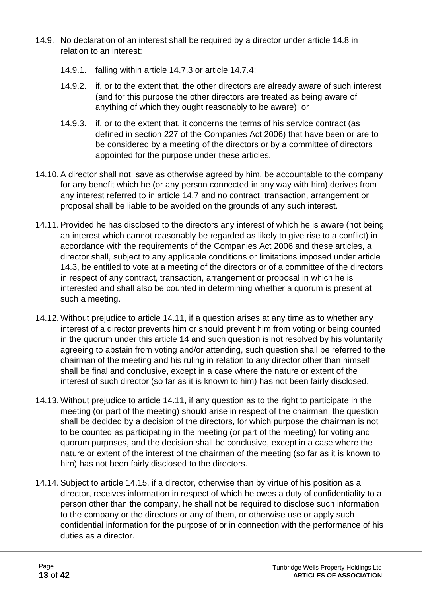- 14.9. No declaration of an interest shall be required by a director under article 14.8 in relation to an interest:
	- 14.9.1. falling within article 14.7.3 or article 14.7.4;
	- 14.9.2. if, or to the extent that, the other directors are already aware of such interest (and for this purpose the other directors are treated as being aware of anything of which they ought reasonably to be aware); or
	- 14.9.3. if, or to the extent that, it concerns the terms of his service contract (as defined in section 227 of the Companies Act 2006) that have been or are to be considered by a meeting of the directors or by a committee of directors appointed for the purpose under these articles.
- 14.10.A director shall not, save as otherwise agreed by him, be accountable to the company for any benefit which he (or any person connected in any way with him) derives from any interest referred to in article 14.7 and no contract, transaction, arrangement or proposal shall be liable to be avoided on the grounds of any such interest.
- 14.11.Provided he has disclosed to the directors any interest of which he is aware (not being an interest which cannot reasonably be regarded as likely to give rise to a conflict) in accordance with the requirements of the Companies Act 2006 and these articles, a director shall, subject to any applicable conditions or limitations imposed under article 14.3, be entitled to vote at a meeting of the directors or of a committee of the directors in respect of any contract, transaction, arrangement or proposal in which he is interested and shall also be counted in determining whether a quorum is present at such a meeting.
- 14.12. Without prejudice to article 14.11, if a question arises at any time as to whether any interest of a director prevents him or should prevent him from voting or being counted in the quorum under this article 14 and such question is not resolved by his voluntarily agreeing to abstain from voting and/or attending, such question shall be referred to the chairman of the meeting and his ruling in relation to any director other than himself shall be final and conclusive, except in a case where the nature or extent of the interest of such director (so far as it is known to him) has not been fairly disclosed.
- 14.13. Without prejudice to article 14.11, if any question as to the right to participate in the meeting (or part of the meeting) should arise in respect of the chairman, the question shall be decided by a decision of the directors, for which purpose the chairman is not to be counted as participating in the meeting (or part of the meeting) for voting and quorum purposes, and the decision shall be conclusive, except in a case where the nature or extent of the interest of the chairman of the meeting (so far as it is known to him) has not been fairly disclosed to the directors.
- 14.14.Subject to article 14.15, if a director, otherwise than by virtue of his position as a director, receives information in respect of which he owes a duty of confidentiality to a person other than the company, he shall not be required to disclose such information to the company or the directors or any of them, or otherwise use or apply such confidential information for the purpose of or in connection with the performance of his duties as a director.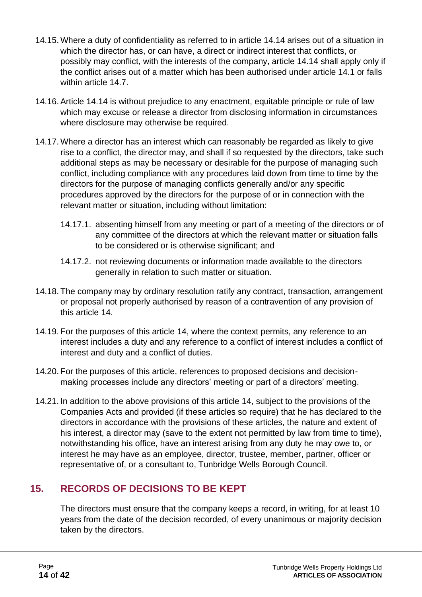- 14.15. Where a duty of confidentiality as referred to in article 14.14 arises out of a situation in which the director has, or can have, a direct or indirect interest that conflicts, or possibly may conflict, with the interests of the company, article 14.14 shall apply only if the conflict arises out of a matter which has been authorised under article 14.1 or falls within article 14.7.
- 14.16.Article 14.14 is without prejudice to any enactment, equitable principle or rule of law which may excuse or release a director from disclosing information in circumstances where disclosure may otherwise be required.
- 14.17. Where a director has an interest which can reasonably be regarded as likely to give rise to a conflict, the director may, and shall if so requested by the directors, take such additional steps as may be necessary or desirable for the purpose of managing such conflict, including compliance with any procedures laid down from time to time by the directors for the purpose of managing conflicts generally and/or any specific procedures approved by the directors for the purpose of or in connection with the relevant matter or situation, including without limitation:
	- 14.17.1. absenting himself from any meeting or part of a meeting of the directors or of any committee of the directors at which the relevant matter or situation falls to be considered or is otherwise significant; and
	- 14.17.2. not reviewing documents or information made available to the directors generally in relation to such matter or situation.
- 14.18. The company may by ordinary resolution ratify any contract, transaction, arrangement or proposal not properly authorised by reason of a contravention of any provision of this article 14.
- 14.19. For the purposes of this article 14, where the context permits, any reference to an interest includes a duty and any reference to a conflict of interest includes a conflict of interest and duty and a conflict of duties.
- 14.20. For the purposes of this article, references to proposed decisions and decisionmaking processes include any directors' meeting or part of a directors' meeting.
- 14.21. In addition to the above provisions of this article 14, subject to the provisions of the Companies Acts and provided (if these articles so require) that he has declared to the directors in accordance with the provisions of these articles, the nature and extent of his interest, a director may (save to the extent not permitted by law from time to time), notwithstanding his office, have an interest arising from any duty he may owe to, or interest he may have as an employee, director, trustee, member, partner, officer or representative of, or a consultant to, Tunbridge Wells Borough Council.

# <span id="page-13-0"></span>**15. RECORDS OF DECISIONS TO BE KEPT**

The directors must ensure that the company keeps a record, in writing, for at least 10 years from the date of the decision recorded, of every unanimous or majority decision taken by the directors.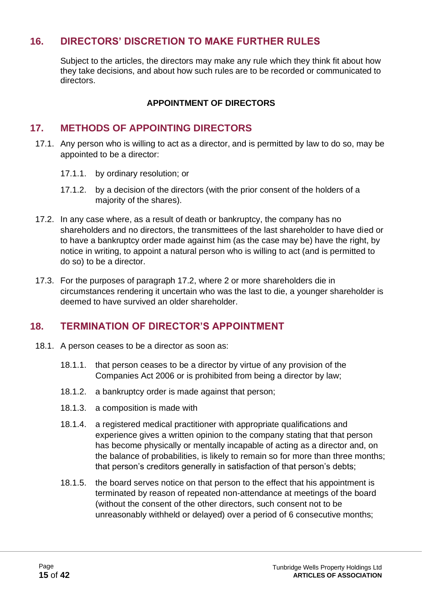# <span id="page-14-0"></span>**16. DIRECTORS' DISCRETION TO MAKE FURTHER RULES**

Subject to the articles, the directors may make any rule which they think fit about how they take decisions, and about how such rules are to be recorded or communicated to directors.

#### **APPOINTMENT OF DIRECTORS**

#### <span id="page-14-1"></span>**17. METHODS OF APPOINTING DIRECTORS**

- 17.1. Any person who is willing to act as a director, and is permitted by law to do so, may be appointed to be a director:
	- 17.1.1. by ordinary resolution; or
	- 17.1.2. by a decision of the directors (with the prior consent of the holders of a majority of the shares).
- 17.2. In any case where, as a result of death or bankruptcy, the company has no shareholders and no directors, the transmittees of the last shareholder to have died or to have a bankruptcy order made against him (as the case may be) have the right, by notice in writing, to appoint a natural person who is willing to act (and is permitted to do so) to be a director.
- 17.3. For the purposes of paragraph 17.2, where 2 or more shareholders die in circumstances rendering it uncertain who was the last to die, a younger shareholder is deemed to have survived an older shareholder.

#### <span id="page-14-2"></span>**18. TERMINATION OF DIRECTOR'S APPOINTMENT**

- 18.1. A person ceases to be a director as soon as:
	- 18.1.1. that person ceases to be a director by virtue of any provision of the Companies Act 2006 or is prohibited from being a director by law;
	- 18.1.2. a bankruptcy order is made against that person;
	- 18.1.3. a composition is made with
	- 18.1.4. a registered medical practitioner with appropriate qualifications and experience gives a written opinion to the company stating that that person has become physically or mentally incapable of acting as a director and, on the balance of probabilities, is likely to remain so for more than three months; that person's creditors generally in satisfaction of that person's debts;
	- 18.1.5. the board serves notice on that person to the effect that his appointment is terminated by reason of repeated non-attendance at meetings of the board (without the consent of the other directors, such consent not to be unreasonably withheld or delayed) over a period of 6 consecutive months;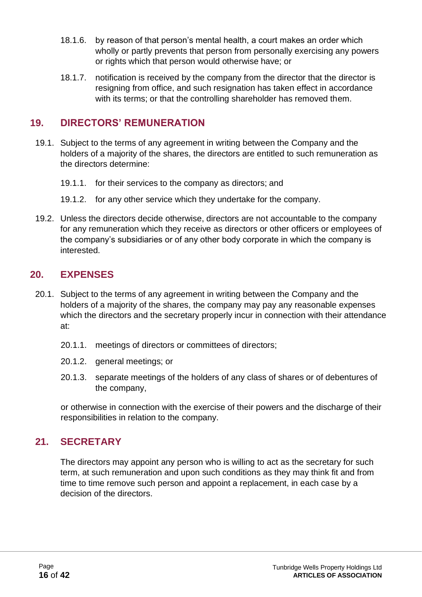- 18.1.6. by reason of that person's mental health, a court makes an order which wholly or partly prevents that person from personally exercising any powers or rights which that person would otherwise have; or
- 18.1.7. notification is received by the company from the director that the director is resigning from office, and such resignation has taken effect in accordance with its terms; or that the controlling shareholder has removed them.

# <span id="page-15-0"></span>**19. DIRECTORS' REMUNERATION**

- 19.1. Subject to the terms of any agreement in writing between the Company and the holders of a majority of the shares, the directors are entitled to such remuneration as the directors determine:
	- 19.1.1. for their services to the company as directors; and
	- 19.1.2. for any other service which they undertake for the company.
- 19.2. Unless the directors decide otherwise, directors are not accountable to the company for any remuneration which they receive as directors or other officers or employees of the company's subsidiaries or of any other body corporate in which the company is interested.

# <span id="page-15-1"></span>**20. EXPENSES**

- 20.1. Subject to the terms of any agreement in writing between the Company and the holders of a majority of the shares, the company may pay any reasonable expenses which the directors and the secretary properly incur in connection with their attendance at:
	- 20.1.1. meetings of directors or committees of directors;
	- 20.1.2. general meetings; or
	- 20.1.3. separate meetings of the holders of any class of shares or of debentures of the company,

or otherwise in connection with the exercise of their powers and the discharge of their responsibilities in relation to the company.

#### <span id="page-15-2"></span>**21. SECRETARY**

The directors may appoint any person who is willing to act as the secretary for such term, at such remuneration and upon such conditions as they may think fit and from time to time remove such person and appoint a replacement, in each case by a decision of the directors.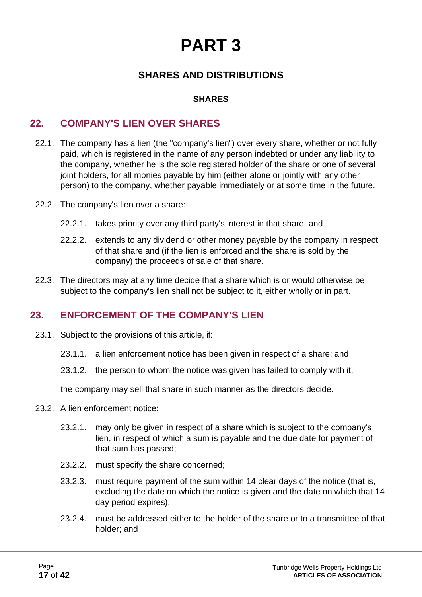# **PART 3**

# **SHARES AND DISTRIBUTIONS**

#### **SHARES**

#### <span id="page-16-1"></span><span id="page-16-0"></span>**22. COMPANY'S LIEN OVER SHARES**

- 22.1. The company has a lien (the "company's lien") over every share, whether or not fully paid, which is registered in the name of any person indebted or under any liability to the company, whether he is the sole registered holder of the share or one of several joint holders, for all monies payable by him (either alone or jointly with any other person) to the company, whether payable immediately or at some time in the future.
- 22.2. The company's lien over a share:
	- 22.2.1. takes priority over any third party's interest in that share; and
	- 22.2.2. extends to any dividend or other money payable by the company in respect of that share and (if the lien is enforced and the share is sold by the company) the proceeds of sale of that share.
- 22.3. The directors may at any time decide that a share which is or would otherwise be subject to the company's lien shall not be subject to it, either wholly or in part.

#### <span id="page-16-2"></span>**23. ENFORCEMENT OF THE COMPANY'S LIEN**

- 23.1. Subject to the provisions of this article, if:
	- 23.1.1. a lien enforcement notice has been given in respect of a share; and
	- 23.1.2. the person to whom the notice was given has failed to comply with it,

the company may sell that share in such manner as the directors decide.

- 23.2. A lien enforcement notice:
	- 23.2.1. may only be given in respect of a share which is subject to the company's lien, in respect of which a sum is payable and the due date for payment of that sum has passed;
	- 23.2.2. must specify the share concerned;
	- 23.2.3. must require payment of the sum within 14 clear days of the notice (that is, excluding the date on which the notice is given and the date on which that 14 day period expires);
	- 23.2.4. must be addressed either to the holder of the share or to a transmittee of that holder; and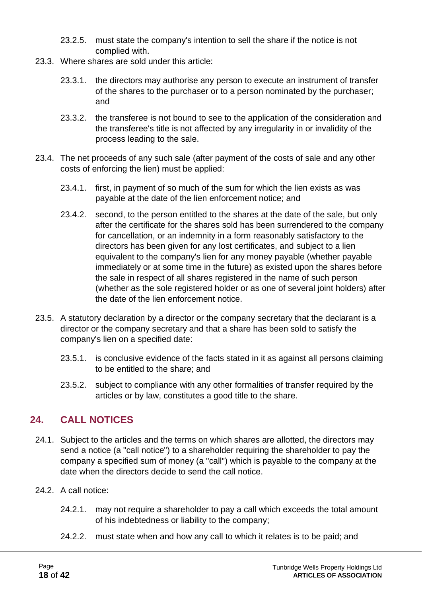- 23.2.5. must state the company's intention to sell the share if the notice is not complied with.
- 23.3. Where shares are sold under this article:
	- 23.3.1. the directors may authorise any person to execute an instrument of transfer of the shares to the purchaser or to a person nominated by the purchaser; and
	- 23.3.2. the transferee is not bound to see to the application of the consideration and the transferee's title is not affected by any irregularity in or invalidity of the process leading to the sale.
- 23.4. The net proceeds of any such sale (after payment of the costs of sale and any other costs of enforcing the lien) must be applied:
	- 23.4.1. first, in payment of so much of the sum for which the lien exists as was payable at the date of the lien enforcement notice; and
	- 23.4.2. second, to the person entitled to the shares at the date of the sale, but only after the certificate for the shares sold has been surrendered to the company for cancellation, or an indemnity in a form reasonably satisfactory to the directors has been given for any lost certificates, and subject to a lien equivalent to the company's lien for any money payable (whether payable immediately or at some time in the future) as existed upon the shares before the sale in respect of all shares registered in the name of such person (whether as the sole registered holder or as one of several joint holders) after the date of the lien enforcement notice.
- 23.5. A statutory declaration by a director or the company secretary that the declarant is a director or the company secretary and that a share has been sold to satisfy the company's lien on a specified date:
	- 23.5.1. is conclusive evidence of the facts stated in it as against all persons claiming to be entitled to the share; and
	- 23.5.2. subject to compliance with any other formalities of transfer required by the articles or by law, constitutes a good title to the share.

# <span id="page-17-0"></span>**24. CALL NOTICES**

- 24.1. Subject to the articles and the terms on which shares are allotted, the directors may send a notice (a "call notice") to a shareholder requiring the shareholder to pay the company a specified sum of money (a "call") which is payable to the company at the date when the directors decide to send the call notice.
- 24.2. A call notice:
	- 24.2.1. may not require a shareholder to pay a call which exceeds the total amount of his indebtedness or liability to the company;
	- 24.2.2. must state when and how any call to which it relates is to be paid; and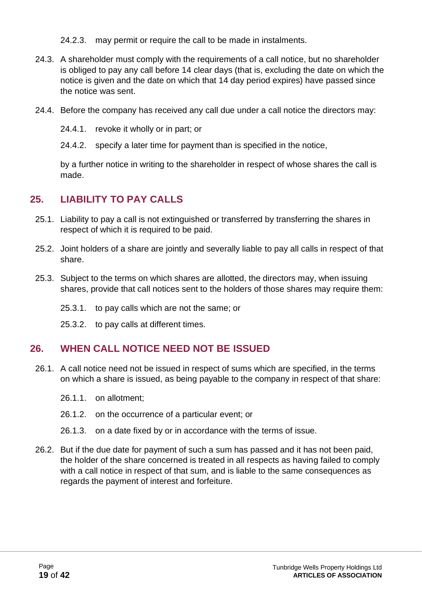- 24.2.3. may permit or require the call to be made in instalments.
- 24.3. A shareholder must comply with the requirements of a call notice, but no shareholder is obliged to pay any call before 14 clear days (that is, excluding the date on which the notice is given and the date on which that 14 day period expires) have passed since the notice was sent.
- 24.4. Before the company has received any call due under a call notice the directors may:
	- 24.4.1. revoke it wholly or in part; or
	- 24.4.2. specify a later time for payment than is specified in the notice,

by a further notice in writing to the shareholder in respect of whose shares the call is made.

# <span id="page-18-0"></span>**25. LIABILITY TO PAY CALLS**

- 25.1. Liability to pay a call is not extinguished or transferred by transferring the shares in respect of which it is required to be paid.
- 25.2. Joint holders of a share are jointly and severally liable to pay all calls in respect of that share.
- 25.3. Subject to the terms on which shares are allotted, the directors may, when issuing shares, provide that call notices sent to the holders of those shares may require them:
	- 25.3.1. to pay calls which are not the same; or
	- 25.3.2. to pay calls at different times.

# <span id="page-18-1"></span>**26. WHEN CALL NOTICE NEED NOT BE ISSUED**

- 26.1. A call notice need not be issued in respect of sums which are specified, in the terms on which a share is issued, as being payable to the company in respect of that share:
	- 26.1.1. on allotment;
	- 26.1.2. on the occurrence of a particular event; or
	- 26.1.3. on a date fixed by or in accordance with the terms of issue.
- 26.2. But if the due date for payment of such a sum has passed and it has not been paid, the holder of the share concerned is treated in all respects as having failed to comply with a call notice in respect of that sum, and is liable to the same consequences as regards the payment of interest and forfeiture.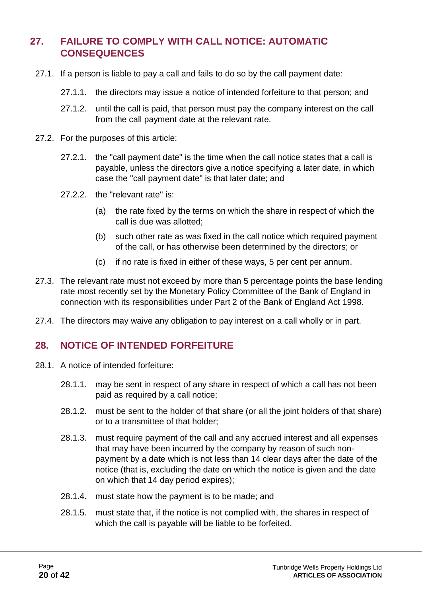# <span id="page-19-0"></span>**27. FAILURE TO COMPLY WITH CALL NOTICE: AUTOMATIC CONSEQUENCES**

- 27.1. If a person is liable to pay a call and fails to do so by the call payment date:
	- 27.1.1. the directors may issue a notice of intended forfeiture to that person; and
	- 27.1.2. until the call is paid, that person must pay the company interest on the call from the call payment date at the relevant rate.
- 27.2. For the purposes of this article:
	- 27.2.1. the "call payment date" is the time when the call notice states that a call is payable, unless the directors give a notice specifying a later date, in which case the "call payment date" is that later date; and
	- 27.2.2. the "relevant rate" is:
		- (a) the rate fixed by the terms on which the share in respect of which the call is due was allotted;
		- (b) such other rate as was fixed in the call notice which required payment of the call, or has otherwise been determined by the directors; or
		- (c) if no rate is fixed in either of these ways, 5 per cent per annum.
- 27.3. The relevant rate must not exceed by more than 5 percentage points the base lending rate most recently set by the Monetary Policy Committee of the Bank of England in connection with its responsibilities under Part 2 of the Bank of England Act 1998.
- 27.4. The directors may waive any obligation to pay interest on a call wholly or in part.

# <span id="page-19-1"></span>**28. NOTICE OF INTENDED FORFEITURE**

- 28.1. A notice of intended forfeiture:
	- 28.1.1. may be sent in respect of any share in respect of which a call has not been paid as required by a call notice;
	- 28.1.2. must be sent to the holder of that share (or all the joint holders of that share) or to a transmittee of that holder;
	- 28.1.3. must require payment of the call and any accrued interest and all expenses that may have been incurred by the company by reason of such nonpayment by a date which is not less than 14 clear days after the date of the notice (that is, excluding the date on which the notice is given and the date on which that 14 day period expires);
	- 28.1.4. must state how the payment is to be made; and
	- 28.1.5. must state that, if the notice is not complied with, the shares in respect of which the call is payable will be liable to be forfeited.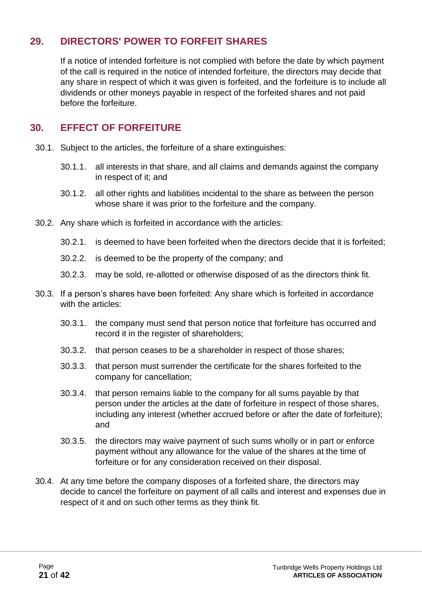# <span id="page-20-0"></span>**29. DIRECTORS' POWER TO FORFEIT SHARES**

If a notice of intended forfeiture is not complied with before the date by which payment of the call is required in the notice of intended forfeiture, the directors may decide that any share in respect of which it was given is forfeited, and the forfeiture is to include all dividends or other moneys payable in respect of the forfeited shares and not paid before the forfeiture.

# <span id="page-20-1"></span>**30. EFFECT OF FORFEITURE**

- 30.1. Subject to the articles, the forfeiture of a share extinguishes:
	- 30.1.1. all interests in that share, and all claims and demands against the company in respect of it; and
	- 30.1.2. all other rights and liabilities incidental to the share as between the person whose share it was prior to the forfeiture and the company.
- 30.2. Any share which is forfeited in accordance with the articles:
	- 30.2.1. is deemed to have been forfeited when the directors decide that it is forfeited;
	- 30.2.2. is deemed to be the property of the company; and
	- 30.2.3. may be sold, re-allotted or otherwise disposed of as the directors think fit.
- 30.3. If a person's shares have been forfeited: Any share which is forfeited in accordance with the articles:
	- 30.3.1. the company must send that person notice that forfeiture has occurred and record it in the register of shareholders:
	- 30.3.2. that person ceases to be a shareholder in respect of those shares;
	- 30.3.3. that person must surrender the certificate for the shares forfeited to the company for cancellation;
	- 30.3.4. that person remains liable to the company for all sums payable by that person under the articles at the date of forfeiture in respect of those shares, including any interest (whether accrued before or after the date of forfeiture); and
	- 30.3.5. the directors may waive payment of such sums wholly or in part or enforce payment without any allowance for the value of the shares at the time of forfeiture or for any consideration received on their disposal.
- 30.4. At any time before the company disposes of a forfeited share, the directors may decide to cancel the forfeiture on payment of all calls and interest and expenses due in respect of it and on such other terms as they think fit.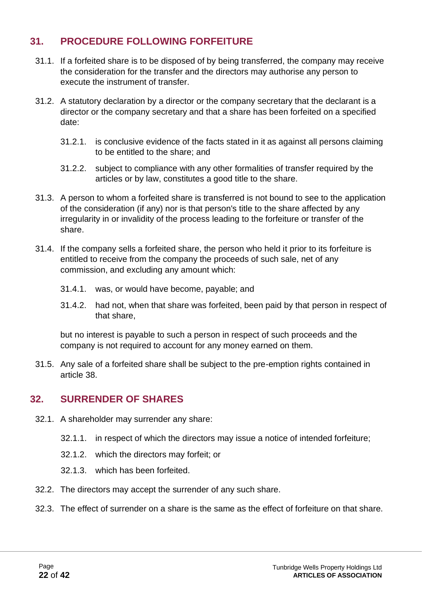# <span id="page-21-0"></span>**31. PROCEDURE FOLLOWING FORFEITURE**

- 31.1. If a forfeited share is to be disposed of by being transferred, the company may receive the consideration for the transfer and the directors may authorise any person to execute the instrument of transfer.
- 31.2. A statutory declaration by a director or the company secretary that the declarant is a director or the company secretary and that a share has been forfeited on a specified date:
	- 31.2.1. is conclusive evidence of the facts stated in it as against all persons claiming to be entitled to the share; and
	- 31.2.2. subject to compliance with any other formalities of transfer required by the articles or by law, constitutes a good title to the share.
- 31.3. A person to whom a forfeited share is transferred is not bound to see to the application of the consideration (if any) nor is that person's title to the share affected by any irregularity in or invalidity of the process leading to the forfeiture or transfer of the share.
- 31.4. If the company sells a forfeited share, the person who held it prior to its forfeiture is entitled to receive from the company the proceeds of such sale, net of any commission, and excluding any amount which:
	- 31.4.1. was, or would have become, payable; and
	- 31.4.2. had not, when that share was forfeited, been paid by that person in respect of that share,

but no interest is payable to such a person in respect of such proceeds and the company is not required to account for any money earned on them.

31.5. Any sale of a forfeited share shall be subject to the pre-emption rights contained in article 38.

# <span id="page-21-1"></span>**32. SURRENDER OF SHARES**

- 32.1. A shareholder may surrender any share:
	- 32.1.1. in respect of which the directors may issue a notice of intended forfeiture;
	- 32.1.2. which the directors may forfeit; or
	- 32.1.3. which has been forfeited.
- 32.2. The directors may accept the surrender of any such share.
- 32.3. The effect of surrender on a share is the same as the effect of forfeiture on that share.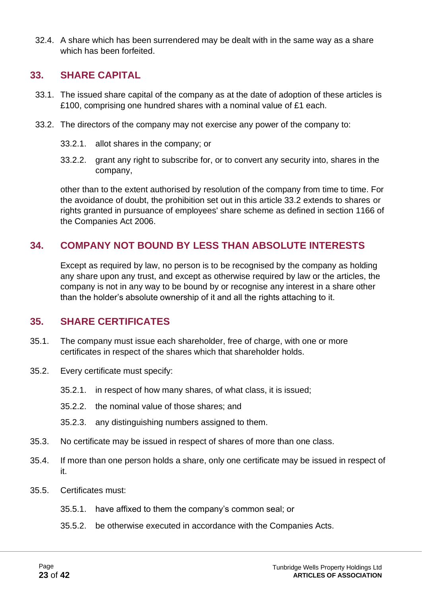32.4. A share which has been surrendered may be dealt with in the same way as a share which has been forfeited.

#### <span id="page-22-0"></span>**33. SHARE CAPITAL**

- 33.1. The issued share capital of the company as at the date of adoption of these articles is £100, comprising one hundred shares with a nominal value of £1 each.
- 33.2. The directors of the company may not exercise any power of the company to:
	- 33.2.1. allot shares in the company; or
	- 33.2.2. grant any right to subscribe for, or to convert any security into, shares in the company,

other than to the extent authorised by resolution of the company from time to time. For the avoidance of doubt, the prohibition set out in this article 33.2 extends to shares or rights granted in pursuance of employees' share scheme as defined in section 1166 of the Companies Act 2006.

# <span id="page-22-1"></span>**34. COMPANY NOT BOUND BY LESS THAN ABSOLUTE INTERESTS**

Except as required by law, no person is to be recognised by the company as holding any share upon any trust, and except as otherwise required by law or the articles, the company is not in any way to be bound by or recognise any interest in a share other than the holder's absolute ownership of it and all the rights attaching to it.

#### <span id="page-22-2"></span>**35. SHARE CERTIFICATES**

- 35.1. The company must issue each shareholder, free of charge, with one or more certificates in respect of the shares which that shareholder holds.
- 35.2. Every certificate must specify:
	- 35.2.1. in respect of how many shares, of what class, it is issued;
	- 35.2.2. the nominal value of those shares; and
	- 35.2.3. any distinguishing numbers assigned to them.
- 35.3. No certificate may be issued in respect of shares of more than one class.
- 35.4. If more than one person holds a share, only one certificate may be issued in respect of it.
- 35.5. Certificates must:
	- 35.5.1. have affixed to them the company's common seal; or
	- 35.5.2. be otherwise executed in accordance with the Companies Acts.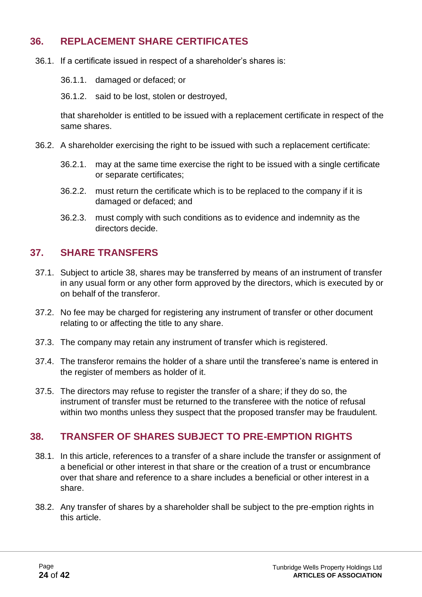## <span id="page-23-0"></span>**36. REPLACEMENT SHARE CERTIFICATES**

- 36.1. If a certificate issued in respect of a shareholder's shares is:
	- 36.1.1. damaged or defaced; or
	- 36.1.2. said to be lost, stolen or destroyed,

that shareholder is entitled to be issued with a replacement certificate in respect of the same shares.

- 36.2. A shareholder exercising the right to be issued with such a replacement certificate:
	- 36.2.1. may at the same time exercise the right to be issued with a single certificate or separate certificates;
	- 36.2.2. must return the certificate which is to be replaced to the company if it is damaged or defaced; and
	- 36.2.3. must comply with such conditions as to evidence and indemnity as the directors decide.

# <span id="page-23-1"></span>**37. SHARE TRANSFERS**

- 37.1. Subject to article 38, shares may be transferred by means of an instrument of transfer in any usual form or any other form approved by the directors, which is executed by or on behalf of the transferor.
- 37.2. No fee may be charged for registering any instrument of transfer or other document relating to or affecting the title to any share.
- 37.3. The company may retain any instrument of transfer which is registered.
- 37.4. The transferor remains the holder of a share until the transferee's name is entered in the register of members as holder of it.
- 37.5. The directors may refuse to register the transfer of a share; if they do so, the instrument of transfer must be returned to the transferee with the notice of refusal within two months unless they suspect that the proposed transfer may be fraudulent.

#### <span id="page-23-2"></span>**38. TRANSFER OF SHARES SUBJECT TO PRE-EMPTION RIGHTS**

- 38.1. In this article, references to a transfer of a share include the transfer or assignment of a beneficial or other interest in that share or the creation of a trust or encumbrance over that share and reference to a share includes a beneficial or other interest in a share.
- 38.2. Any transfer of shares by a shareholder shall be subject to the pre-emption rights in this article.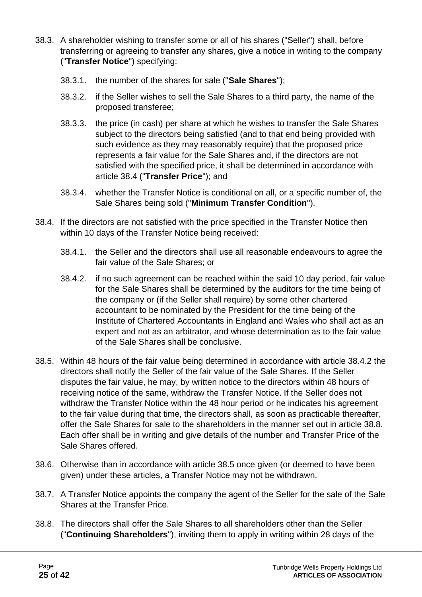- 38.3. A shareholder wishing to transfer some or all of his shares ("Seller") shall, before transferring or agreeing to transfer any shares, give a notice in writing to the company ("**Transfer Notice**") specifying:
	- 38.3.1. the number of the shares for sale ("**Sale Shares**");
	- 38.3.2. if the Seller wishes to sell the Sale Shares to a third party, the name of the proposed transferee;
	- 38.3.3. the price (in cash) per share at which he wishes to transfer the Sale Shares subject to the directors being satisfied (and to that end being provided with such evidence as they may reasonably require) that the proposed price represents a fair value for the Sale Shares and, if the directors are not satisfied with the specified price, it shall be determined in accordance with article 38.4 ("**Transfer Price**"); and
	- 38.3.4. whether the Transfer Notice is conditional on all, or a specific number of, the Sale Shares being sold ("**Minimum Transfer Condition**").
- 38.4. If the directors are not satisfied with the price specified in the Transfer Notice then within 10 days of the Transfer Notice being received:
	- 38.4.1. the Seller and the directors shall use all reasonable endeavours to agree the fair value of the Sale Shares; or
	- 38.4.2. if no such agreement can be reached within the said 10 day period, fair value for the Sale Shares shall be determined by the auditors for the time being of the company or (if the Seller shall require) by some other chartered accountant to be nominated by the President for the time being of the Institute of Chartered Accountants in England and Wales who shall act as an expert and not as an arbitrator, and whose determination as to the fair value of the Sale Shares shall be conclusive.
- 38.5. Within 48 hours of the fair value being determined in accordance with article 38.4.2 the directors shall notify the Seller of the fair value of the Sale Shares. If the Seller disputes the fair value, he may, by written notice to the directors within 48 hours of receiving notice of the same, withdraw the Transfer Notice. If the Seller does not withdraw the Transfer Notice within the 48 hour period or he indicates his agreement to the fair value during that time, the directors shall, as soon as practicable thereafter, offer the Sale Shares for sale to the shareholders in the manner set out in article 38.8. Each offer shall be in writing and give details of the number and Transfer Price of the Sale Shares offered.
- 38.6. Otherwise than in accordance with article 38.5 once given (or deemed to have been given) under these articles, a Transfer Notice may not be withdrawn.
- 38.7. A Transfer Notice appoints the company the agent of the Seller for the sale of the Sale Shares at the Transfer Price.
- 38.8. The directors shall offer the Sale Shares to all shareholders other than the Seller ("**Continuing Shareholders**"), inviting them to apply in writing within 28 days of the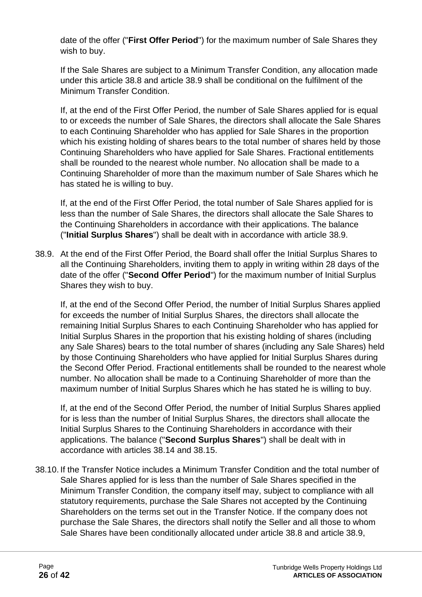date of the offer ("**First Offer Period**") for the maximum number of Sale Shares they wish to buy.

If the Sale Shares are subject to a Minimum Transfer Condition, any allocation made under this article 38.8 and article 38.9 shall be conditional on the fulfilment of the Minimum Transfer Condition.

If, at the end of the First Offer Period, the number of Sale Shares applied for is equal to or exceeds the number of Sale Shares, the directors shall allocate the Sale Shares to each Continuing Shareholder who has applied for Sale Shares in the proportion which his existing holding of shares bears to the total number of shares held by those Continuing Shareholders who have applied for Sale Shares. Fractional entitlements shall be rounded to the nearest whole number. No allocation shall be made to a Continuing Shareholder of more than the maximum number of Sale Shares which he has stated he is willing to buy.

If, at the end of the First Offer Period, the total number of Sale Shares applied for is less than the number of Sale Shares, the directors shall allocate the Sale Shares to the Continuing Shareholders in accordance with their applications. The balance ("**Initial Surplus Shares**") shall be dealt with in accordance with article 38.9.

38.9. At the end of the First Offer Period, the Board shall offer the Initial Surplus Shares to all the Continuing Shareholders, inviting them to apply in writing within 28 days of the date of the offer ("**Second Offer Period**") for the maximum number of Initial Surplus Shares they wish to buy.

If, at the end of the Second Offer Period, the number of Initial Surplus Shares applied for exceeds the number of Initial Surplus Shares, the directors shall allocate the remaining Initial Surplus Shares to each Continuing Shareholder who has applied for Initial Surplus Shares in the proportion that his existing holding of shares (including any Sale Shares) bears to the total number of shares (including any Sale Shares) held by those Continuing Shareholders who have applied for Initial Surplus Shares during the Second Offer Period. Fractional entitlements shall be rounded to the nearest whole number. No allocation shall be made to a Continuing Shareholder of more than the maximum number of Initial Surplus Shares which he has stated he is willing to buy.

If, at the end of the Second Offer Period, the number of Initial Surplus Shares applied for is less than the number of Initial Surplus Shares, the directors shall allocate the Initial Surplus Shares to the Continuing Shareholders in accordance with their applications. The balance ("**Second Surplus Shares**") shall be dealt with in accordance with articles 38.14 and 38.15.

38.10. If the Transfer Notice includes a Minimum Transfer Condition and the total number of Sale Shares applied for is less than the number of Sale Shares specified in the Minimum Transfer Condition, the company itself may, subject to compliance with all statutory requirements, purchase the Sale Shares not accepted by the Continuing Shareholders on the terms set out in the Transfer Notice. If the company does not purchase the Sale Shares, the directors shall notify the Seller and all those to whom Sale Shares have been conditionally allocated under article 38.8 and article 38.9,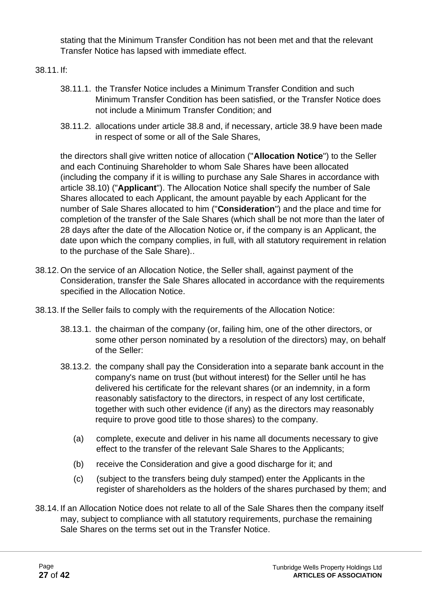stating that the Minimum Transfer Condition has not been met and that the relevant Transfer Notice has lapsed with immediate effect.

38.11. If:

- 38.11.1. the Transfer Notice includes a Minimum Transfer Condition and such Minimum Transfer Condition has been satisfied, or the Transfer Notice does not include a Minimum Transfer Condition; and
- 38.11.2. allocations under article 38.8 and, if necessary, article 38.9 have been made in respect of some or all of the Sale Shares,

the directors shall give written notice of allocation ("**Allocation Notice**") to the Seller and each Continuing Shareholder to whom Sale Shares have been allocated (including the company if it is willing to purchase any Sale Shares in accordance with article 38.10) ("**Applicant**"). The Allocation Notice shall specify the number of Sale Shares allocated to each Applicant, the amount payable by each Applicant for the number of Sale Shares allocated to him ("**Consideration**") and the place and time for completion of the transfer of the Sale Shares (which shall be not more than the later of 28 days after the date of the Allocation Notice or, if the company is an Applicant, the date upon which the company complies, in full, with all statutory requirement in relation to the purchase of the Sale Share)..

- 38.12. On the service of an Allocation Notice, the Seller shall, against payment of the Consideration, transfer the Sale Shares allocated in accordance with the requirements specified in the Allocation Notice.
- 38.13. If the Seller fails to comply with the requirements of the Allocation Notice:
	- 38.13.1. the chairman of the company (or, failing him, one of the other directors, or some other person nominated by a resolution of the directors) may, on behalf of the Seller:
	- 38.13.2. the company shall pay the Consideration into a separate bank account in the company's name on trust (but without interest) for the Seller until he has delivered his certificate for the relevant shares (or an indemnity, in a form reasonably satisfactory to the directors, in respect of any lost certificate, together with such other evidence (if any) as the directors may reasonably require to prove good title to those shares) to the company.
		- (a) complete, execute and deliver in his name all documents necessary to give effect to the transfer of the relevant Sale Shares to the Applicants;
		- (b) receive the Consideration and give a good discharge for it; and
		- (c) (subject to the transfers being duly stamped) enter the Applicants in the register of shareholders as the holders of the shares purchased by them; and
- 38.14. If an Allocation Notice does not relate to all of the Sale Shares then the company itself may, subject to compliance with all statutory requirements, purchase the remaining Sale Shares on the terms set out in the Transfer Notice.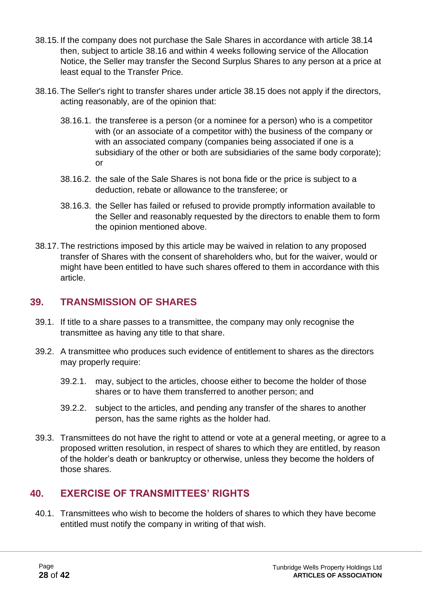- 38.15. If the company does not purchase the Sale Shares in accordance with article 38.14 then, subject to article 38.16 and within 4 weeks following service of the Allocation Notice, the Seller may transfer the Second Surplus Shares to any person at a price at least equal to the Transfer Price.
- 38.16. The Seller's right to transfer shares under article 38.15 does not apply if the directors, acting reasonably, are of the opinion that:
	- 38.16.1. the transferee is a person (or a nominee for a person) who is a competitor with (or an associate of a competitor with) the business of the company or with an associated company (companies being associated if one is a subsidiary of the other or both are subsidiaries of the same body corporate); or
	- 38.16.2. the sale of the Sale Shares is not bona fide or the price is subject to a deduction, rebate or allowance to the transferee; or
	- 38.16.3. the Seller has failed or refused to provide promptly information available to the Seller and reasonably requested by the directors to enable them to form the opinion mentioned above.
- 38.17. The restrictions imposed by this article may be waived in relation to any proposed transfer of Shares with the consent of shareholders who, but for the waiver, would or might have been entitled to have such shares offered to them in accordance with this article.

# <span id="page-27-0"></span>**39. TRANSMISSION OF SHARES**

- 39.1. If title to a share passes to a transmittee, the company may only recognise the transmittee as having any title to that share.
- 39.2. A transmittee who produces such evidence of entitlement to shares as the directors may properly require:
	- 39.2.1. may, subject to the articles, choose either to become the holder of those shares or to have them transferred to another person; and
	- 39.2.2. subject to the articles, and pending any transfer of the shares to another person, has the same rights as the holder had.
- 39.3. Transmittees do not have the right to attend or vote at a general meeting, or agree to a proposed written resolution, in respect of shares to which they are entitled, by reason of the holder's death or bankruptcy or otherwise, unless they become the holders of those shares.

# <span id="page-27-1"></span>**40. EXERCISE OF TRANSMITTEES' RIGHTS**

40.1. Transmittees who wish to become the holders of shares to which they have become entitled must notify the company in writing of that wish.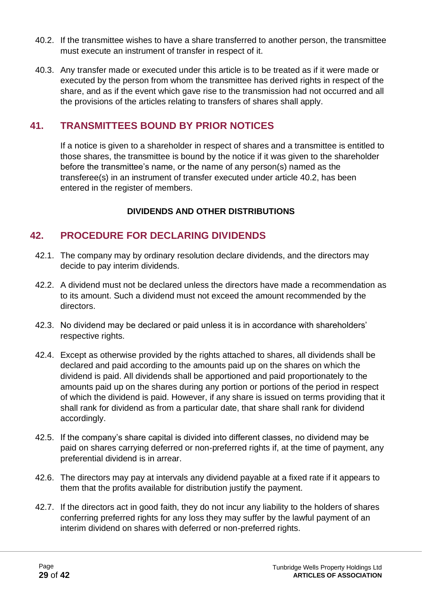- 40.2. If the transmittee wishes to have a share transferred to another person, the transmittee must execute an instrument of transfer in respect of it.
- 40.3. Any transfer made or executed under this article is to be treated as if it were made or executed by the person from whom the transmittee has derived rights in respect of the share, and as if the event which gave rise to the transmission had not occurred and all the provisions of the articles relating to transfers of shares shall apply.

# <span id="page-28-0"></span>**41. TRANSMITTEES BOUND BY PRIOR NOTICES**

If a notice is given to a shareholder in respect of shares and a transmittee is entitled to those shares, the transmittee is bound by the notice if it was given to the shareholder before the transmittee's name, or the name of any person(s) named as the transferee(s) in an instrument of transfer executed under article 40.2, has been entered in the register of members.

#### **DIVIDENDS AND OTHER DISTRIBUTIONS**

# <span id="page-28-1"></span>**42. PROCEDURE FOR DECLARING DIVIDENDS**

- 42.1. The company may by ordinary resolution declare dividends, and the directors may decide to pay interim dividends.
- 42.2. A dividend must not be declared unless the directors have made a recommendation as to its amount. Such a dividend must not exceed the amount recommended by the directors.
- 42.3. No dividend may be declared or paid unless it is in accordance with shareholders' respective rights.
- 42.4. Except as otherwise provided by the rights attached to shares, all dividends shall be declared and paid according to the amounts paid up on the shares on which the dividend is paid. All dividends shall be apportioned and paid proportionately to the amounts paid up on the shares during any portion or portions of the period in respect of which the dividend is paid. However, if any share is issued on terms providing that it shall rank for dividend as from a particular date, that share shall rank for dividend accordingly.
- 42.5. If the company's share capital is divided into different classes, no dividend may be paid on shares carrying deferred or non-preferred rights if, at the time of payment, any preferential dividend is in arrear.
- 42.6. The directors may pay at intervals any dividend payable at a fixed rate if it appears to them that the profits available for distribution justify the payment.
- 42.7. If the directors act in good faith, they do not incur any liability to the holders of shares conferring preferred rights for any loss they may suffer by the lawful payment of an interim dividend on shares with deferred or non-preferred rights.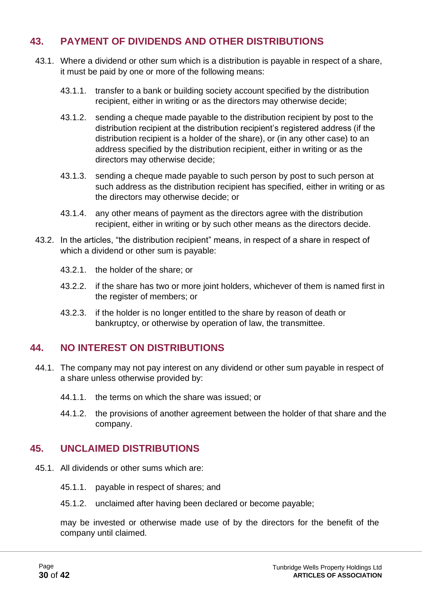# <span id="page-29-0"></span>**43. PAYMENT OF DIVIDENDS AND OTHER DISTRIBUTIONS**

- 43.1. Where a dividend or other sum which is a distribution is payable in respect of a share, it must be paid by one or more of the following means:
	- 43.1.1. transfer to a bank or building society account specified by the distribution recipient, either in writing or as the directors may otherwise decide;
	- 43.1.2. sending a cheque made payable to the distribution recipient by post to the distribution recipient at the distribution recipient's registered address (if the distribution recipient is a holder of the share), or (in any other case) to an address specified by the distribution recipient, either in writing or as the directors may otherwise decide;
	- 43.1.3. sending a cheque made payable to such person by post to such person at such address as the distribution recipient has specified, either in writing or as the directors may otherwise decide; or
	- 43.1.4. any other means of payment as the directors agree with the distribution recipient, either in writing or by such other means as the directors decide.
- 43.2. In the articles, "the distribution recipient" means, in respect of a share in respect of which a dividend or other sum is payable:
	- 43.2.1. the holder of the share; or
	- 43.2.2. if the share has two or more joint holders, whichever of them is named first in the register of members; or
	- 43.2.3. if the holder is no longer entitled to the share by reason of death or bankruptcy, or otherwise by operation of law, the transmittee.

#### <span id="page-29-1"></span>**44. NO INTEREST ON DISTRIBUTIONS**

- 44.1. The company may not pay interest on any dividend or other sum payable in respect of a share unless otherwise provided by:
	- 44.1.1. the terms on which the share was issued; or
	- 44.1.2. the provisions of another agreement between the holder of that share and the company.

#### <span id="page-29-2"></span>**45. UNCLAIMED DISTRIBUTIONS**

- 45.1. All dividends or other sums which are:
	- 45.1.1. payable in respect of shares; and
	- 45.1.2. unclaimed after having been declared or become payable;

may be invested or otherwise made use of by the directors for the benefit of the company until claimed.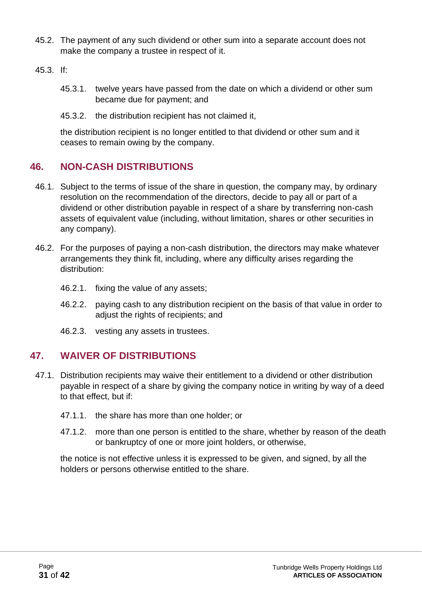- 45.2. The payment of any such dividend or other sum into a separate account does not make the company a trustee in respect of it.
- 45.3. If:
	- 45.3.1. twelve years have passed from the date on which a dividend or other sum became due for payment; and
	- 45.3.2. the distribution recipient has not claimed it,

the distribution recipient is no longer entitled to that dividend or other sum and it ceases to remain owing by the company.

# <span id="page-30-0"></span>**46. NON-CASH DISTRIBUTIONS**

- 46.1. Subject to the terms of issue of the share in question, the company may, by ordinary resolution on the recommendation of the directors, decide to pay all or part of a dividend or other distribution payable in respect of a share by transferring non-cash assets of equivalent value (including, without limitation, shares or other securities in any company).
- 46.2. For the purposes of paying a non-cash distribution, the directors may make whatever arrangements they think fit, including, where any difficulty arises regarding the distribution:
	- 46.2.1. fixing the value of any assets;
	- 46.2.2. paying cash to any distribution recipient on the basis of that value in order to adjust the rights of recipients; and
	- 46.2.3. vesting any assets in trustees.

#### <span id="page-30-1"></span>**47. WAIVER OF DISTRIBUTIONS**

- 47.1. Distribution recipients may waive their entitlement to a dividend or other distribution payable in respect of a share by giving the company notice in writing by way of a deed to that effect, but if:
	- 47.1.1. the share has more than one holder; or
	- 47.1.2. more than one person is entitled to the share, whether by reason of the death or bankruptcy of one or more joint holders, or otherwise,

the notice is not effective unless it is expressed to be given, and signed, by all the holders or persons otherwise entitled to the share.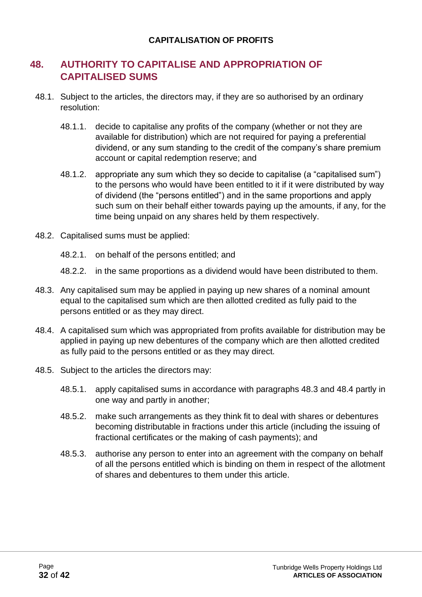#### **CAPITALISATION OF PROFITS**

### <span id="page-31-0"></span>**48. AUTHORITY TO CAPITALISE AND APPROPRIATION OF CAPITALISED SUMS**

- 48.1. Subject to the articles, the directors may, if they are so authorised by an ordinary resolution:
	- 48.1.1. decide to capitalise any profits of the company (whether or not they are available for distribution) which are not required for paying a preferential dividend, or any sum standing to the credit of the company's share premium account or capital redemption reserve; and
	- 48.1.2. appropriate any sum which they so decide to capitalise (a "capitalised sum") to the persons who would have been entitled to it if it were distributed by way of dividend (the "persons entitled") and in the same proportions and apply such sum on their behalf either towards paying up the amounts, if any, for the time being unpaid on any shares held by them respectively.
- 48.2. Capitalised sums must be applied:
	- 48.2.1. on behalf of the persons entitled; and
	- 48.2.2. in the same proportions as a dividend would have been distributed to them.
- 48.3. Any capitalised sum may be applied in paying up new shares of a nominal amount equal to the capitalised sum which are then allotted credited as fully paid to the persons entitled or as they may direct.
- 48.4. A capitalised sum which was appropriated from profits available for distribution may be applied in paying up new debentures of the company which are then allotted credited as fully paid to the persons entitled or as they may direct.
- 48.5. Subject to the articles the directors may:
	- 48.5.1. apply capitalised sums in accordance with paragraphs 48.3 and 48.4 partly in one way and partly in another;
	- 48.5.2. make such arrangements as they think fit to deal with shares or debentures becoming distributable in fractions under this article (including the issuing of fractional certificates or the making of cash payments); and
	- 48.5.3. authorise any person to enter into an agreement with the company on behalf of all the persons entitled which is binding on them in respect of the allotment of shares and debentures to them under this article.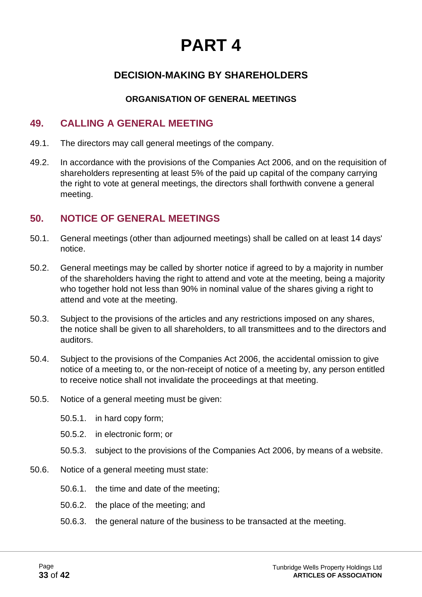# **PART 4**

# **DECISION-MAKING BY SHAREHOLDERS**

#### **ORGANISATION OF GENERAL MEETINGS**

#### <span id="page-32-1"></span><span id="page-32-0"></span>**49. CALLING A GENERAL MEETING**

- 49.1. The directors may call general meetings of the company.
- 49.2. In accordance with the provisions of the Companies Act 2006, and on the requisition of shareholders representing at least 5% of the paid up capital of the company carrying the right to vote at general meetings, the directors shall forthwith convene a general meeting.

#### <span id="page-32-2"></span>**50. NOTICE OF GENERAL MEETINGS**

- 50.1. General meetings (other than adjourned meetings) shall be called on at least 14 days' notice.
- 50.2. General meetings may be called by shorter notice if agreed to by a majority in number of the shareholders having the right to attend and vote at the meeting, being a majority who together hold not less than 90% in nominal value of the shares giving a right to attend and vote at the meeting.
- 50.3. Subject to the provisions of the articles and any restrictions imposed on any shares, the notice shall be given to all shareholders, to all transmittees and to the directors and auditors.
- 50.4. Subject to the provisions of the Companies Act 2006, the accidental omission to give notice of a meeting to, or the non-receipt of notice of a meeting by, any person entitled to receive notice shall not invalidate the proceedings at that meeting.
- 50.5. Notice of a general meeting must be given:
	- 50.5.1. in hard copy form;
	- 50.5.2. in electronic form; or
	- 50.5.3. subject to the provisions of the Companies Act 2006, by means of a website.
- 50.6. Notice of a general meeting must state:
	- 50.6.1. the time and date of the meeting;
	- 50.6.2. the place of the meeting; and
	- 50.6.3. the general nature of the business to be transacted at the meeting.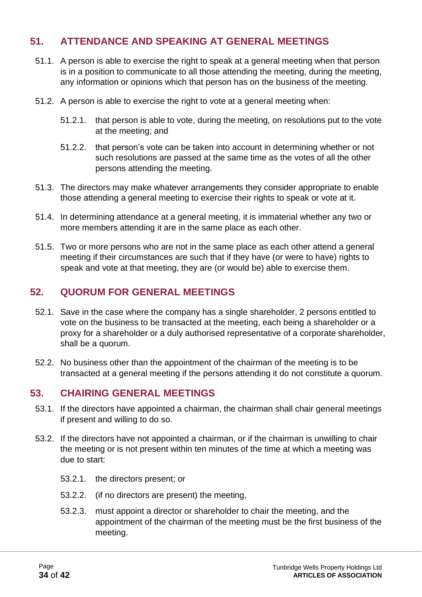# <span id="page-33-0"></span>**51. ATTENDANCE AND SPEAKING AT GENERAL MEETINGS**

- 51.1. A person is able to exercise the right to speak at a general meeting when that person is in a position to communicate to all those attending the meeting, during the meeting, any information or opinions which that person has on the business of the meeting.
- 51.2. A person is able to exercise the right to vote at a general meeting when:
	- 51.2.1. that person is able to vote, during the meeting, on resolutions put to the vote at the meeting; and
	- 51.2.2. that person's vote can be taken into account in determining whether or not such resolutions are passed at the same time as the votes of all the other persons attending the meeting.
- 51.3. The directors may make whatever arrangements they consider appropriate to enable those attending a general meeting to exercise their rights to speak or vote at it.
- 51.4. In determining attendance at a general meeting, it is immaterial whether any two or more members attending it are in the same place as each other.
- 51.5. Two or more persons who are not in the same place as each other attend a general meeting if their circumstances are such that if they have (or were to have) rights to speak and vote at that meeting, they are (or would be) able to exercise them.

#### <span id="page-33-1"></span>**52. QUORUM FOR GENERAL MEETINGS**

- 52.1. Save in the case where the company has a single shareholder, 2 persons entitled to vote on the business to be transacted at the meeting, each being a shareholder or a proxy for a shareholder or a duly authorised representative of a corporate shareholder, shall be a quorum.
- 52.2. No business other than the appointment of the chairman of the meeting is to be transacted at a general meeting if the persons attending it do not constitute a quorum.

#### <span id="page-33-2"></span>**53. CHAIRING GENERAL MEETINGS**

- 53.1. If the directors have appointed a chairman, the chairman shall chair general meetings if present and willing to do so.
- 53.2. If the directors have not appointed a chairman, or if the chairman is unwilling to chair the meeting or is not present within ten minutes of the time at which a meeting was due to start:
	- 53.2.1. the directors present; or
	- 53.2.2. (if no directors are present) the meeting,
	- 53.2.3. must appoint a director or shareholder to chair the meeting, and the appointment of the chairman of the meeting must be the first business of the meeting.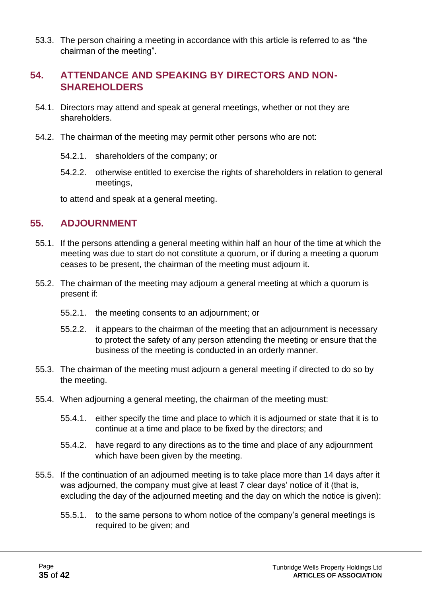53.3. The person chairing a meeting in accordance with this article is referred to as "the chairman of the meeting".

#### <span id="page-34-0"></span>**54. ATTENDANCE AND SPEAKING BY DIRECTORS AND NON-SHAREHOLDERS**

- 54.1. Directors may attend and speak at general meetings, whether or not they are shareholders.
- 54.2. The chairman of the meeting may permit other persons who are not:
	- 54.2.1. shareholders of the company; or
	- 54.2.2. otherwise entitled to exercise the rights of shareholders in relation to general meetings,

to attend and speak at a general meeting.

#### <span id="page-34-1"></span>**55. ADJOURNMENT**

- 55.1. If the persons attending a general meeting within half an hour of the time at which the meeting was due to start do not constitute a quorum, or if during a meeting a quorum ceases to be present, the chairman of the meeting must adjourn it.
- 55.2. The chairman of the meeting may adjourn a general meeting at which a quorum is present if:
	- 55.2.1. the meeting consents to an adjournment; or
	- 55.2.2. it appears to the chairman of the meeting that an adjournment is necessary to protect the safety of any person attending the meeting or ensure that the business of the meeting is conducted in an orderly manner.
- 55.3. The chairman of the meeting must adjourn a general meeting if directed to do so by the meeting.
- 55.4. When adjourning a general meeting, the chairman of the meeting must:
	- 55.4.1. either specify the time and place to which it is adjourned or state that it is to continue at a time and place to be fixed by the directors; and
	- 55.4.2. have regard to any directions as to the time and place of any adjournment which have been given by the meeting.
- 55.5. If the continuation of an adjourned meeting is to take place more than 14 days after it was adjourned, the company must give at least 7 clear days' notice of it (that is, excluding the day of the adjourned meeting and the day on which the notice is given):
	- 55.5.1. to the same persons to whom notice of the company's general meetings is required to be given; and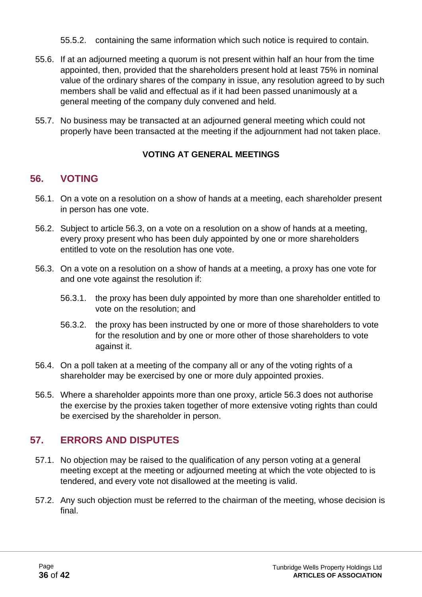- 55.5.2. containing the same information which such notice is required to contain.
- 55.6. If at an adjourned meeting a quorum is not present within half an hour from the time appointed, then, provided that the shareholders present hold at least 75% in nominal value of the ordinary shares of the company in issue, any resolution agreed to by such members shall be valid and effectual as if it had been passed unanimously at a general meeting of the company duly convened and held.
- 55.7. No business may be transacted at an adjourned general meeting which could not properly have been transacted at the meeting if the adjournment had not taken place.

#### **VOTING AT GENERAL MEETINGS**

# <span id="page-35-0"></span>**56. VOTING**

- 56.1. On a vote on a resolution on a show of hands at a meeting, each shareholder present in person has one vote.
- 56.2. Subject to article 56.3, on a vote on a resolution on a show of hands at a meeting, every proxy present who has been duly appointed by one or more shareholders entitled to vote on the resolution has one vote.
- 56.3. On a vote on a resolution on a show of hands at a meeting, a proxy has one vote for and one vote against the resolution if:
	- 56.3.1. the proxy has been duly appointed by more than one shareholder entitled to vote on the resolution; and
	- 56.3.2. the proxy has been instructed by one or more of those shareholders to vote for the resolution and by one or more other of those shareholders to vote against it.
- 56.4. On a poll taken at a meeting of the company all or any of the voting rights of a shareholder may be exercised by one or more duly appointed proxies.
- 56.5. Where a shareholder appoints more than one proxy, article 56.3 does not authorise the exercise by the proxies taken together of more extensive voting rights than could be exercised by the shareholder in person.

# <span id="page-35-1"></span>**57. ERRORS AND DISPUTES**

- 57.1. No objection may be raised to the qualification of any person voting at a general meeting except at the meeting or adjourned meeting at which the vote objected to is tendered, and every vote not disallowed at the meeting is valid.
- 57.2. Any such objection must be referred to the chairman of the meeting, whose decision is final.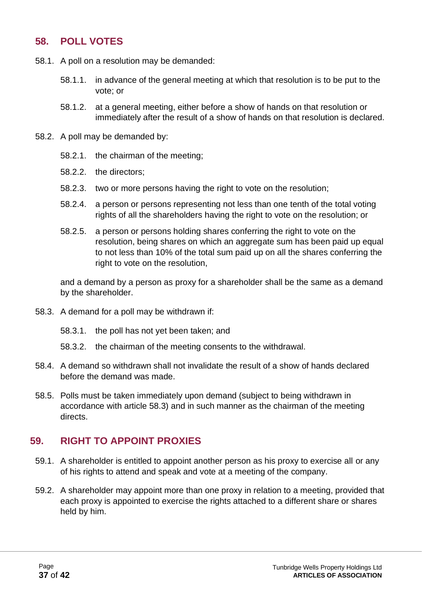#### <span id="page-36-0"></span>**58. POLL VOTES**

- 58.1. A poll on a resolution may be demanded:
	- 58.1.1. in advance of the general meeting at which that resolution is to be put to the vote; or
	- 58.1.2. at a general meeting, either before a show of hands on that resolution or immediately after the result of a show of hands on that resolution is declared.
- 58.2. A poll may be demanded by:
	- 58.2.1. the chairman of the meeting;
	- 58.2.2. the directors;
	- 58.2.3. two or more persons having the right to vote on the resolution;
	- 58.2.4. a person or persons representing not less than one tenth of the total voting rights of all the shareholders having the right to vote on the resolution; or
	- 58.2.5. a person or persons holding shares conferring the right to vote on the resolution, being shares on which an aggregate sum has been paid up equal to not less than 10% of the total sum paid up on all the shares conferring the right to vote on the resolution,

and a demand by a person as proxy for a shareholder shall be the same as a demand by the shareholder.

- 58.3. A demand for a poll may be withdrawn if:
	- 58.3.1. the poll has not yet been taken; and
	- 58.3.2. the chairman of the meeting consents to the withdrawal.
- 58.4. A demand so withdrawn shall not invalidate the result of a show of hands declared before the demand was made.
- 58.5. Polls must be taken immediately upon demand (subject to being withdrawn in accordance with article 58.3) and in such manner as the chairman of the meeting directs.

#### <span id="page-36-1"></span>**59. RIGHT TO APPOINT PROXIES**

- 59.1. A shareholder is entitled to appoint another person as his proxy to exercise all or any of his rights to attend and speak and vote at a meeting of the company.
- 59.2. A shareholder may appoint more than one proxy in relation to a meeting, provided that each proxy is appointed to exercise the rights attached to a different share or shares held by him.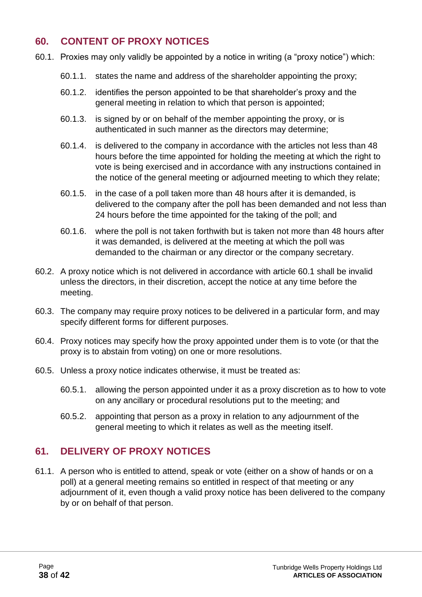# <span id="page-37-0"></span>**60. CONTENT OF PROXY NOTICES**

- 60.1. Proxies may only validly be appointed by a notice in writing (a "proxy notice") which:
	- 60.1.1. states the name and address of the shareholder appointing the proxy;
	- 60.1.2. identifies the person appointed to be that shareholder's proxy and the general meeting in relation to which that person is appointed;
	- 60.1.3. is signed by or on behalf of the member appointing the proxy, or is authenticated in such manner as the directors may determine;
	- 60.1.4. is delivered to the company in accordance with the articles not less than 48 hours before the time appointed for holding the meeting at which the right to vote is being exercised and in accordance with any instructions contained in the notice of the general meeting or adjourned meeting to which they relate;
	- 60.1.5. in the case of a poll taken more than 48 hours after it is demanded, is delivered to the company after the poll has been demanded and not less than 24 hours before the time appointed for the taking of the poll; and
	- 60.1.6. where the poll is not taken forthwith but is taken not more than 48 hours after it was demanded, is delivered at the meeting at which the poll was demanded to the chairman or any director or the company secretary.
- 60.2. A proxy notice which is not delivered in accordance with article 60.1 shall be invalid unless the directors, in their discretion, accept the notice at any time before the meeting.
- 60.3. The company may require proxy notices to be delivered in a particular form, and may specify different forms for different purposes.
- 60.4. Proxy notices may specify how the proxy appointed under them is to vote (or that the proxy is to abstain from voting) on one or more resolutions.
- 60.5. Unless a proxy notice indicates otherwise, it must be treated as:
	- 60.5.1. allowing the person appointed under it as a proxy discretion as to how to vote on any ancillary or procedural resolutions put to the meeting; and
	- 60.5.2. appointing that person as a proxy in relation to any adjournment of the general meeting to which it relates as well as the meeting itself.

# <span id="page-37-1"></span>**61. DELIVERY OF PROXY NOTICES**

61.1. A person who is entitled to attend, speak or vote (either on a show of hands or on a poll) at a general meeting remains so entitled in respect of that meeting or any adjournment of it, even though a valid proxy notice has been delivered to the company by or on behalf of that person.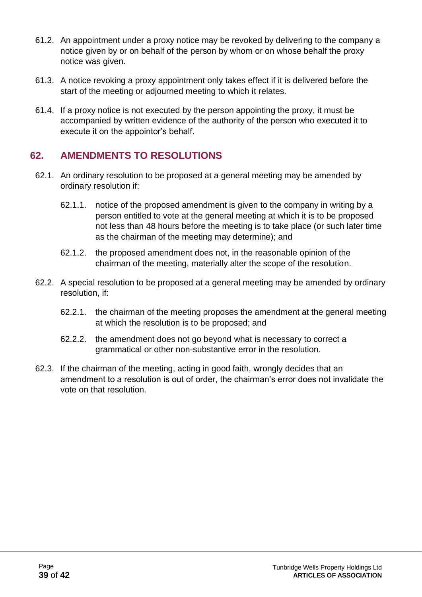- 61.2. An appointment under a proxy notice may be revoked by delivering to the company a notice given by or on behalf of the person by whom or on whose behalf the proxy notice was given.
- 61.3. A notice revoking a proxy appointment only takes effect if it is delivered before the start of the meeting or adjourned meeting to which it relates.
- 61.4. If a proxy notice is not executed by the person appointing the proxy, it must be accompanied by written evidence of the authority of the person who executed it to execute it on the appointor's behalf.

# <span id="page-38-0"></span>**62. AMENDMENTS TO RESOLUTIONS**

- 62.1. An ordinary resolution to be proposed at a general meeting may be amended by ordinary resolution if:
	- 62.1.1. notice of the proposed amendment is given to the company in writing by a person entitled to vote at the general meeting at which it is to be proposed not less than 48 hours before the meeting is to take place (or such later time as the chairman of the meeting may determine); and
	- 62.1.2. the proposed amendment does not, in the reasonable opinion of the chairman of the meeting, materially alter the scope of the resolution.
- 62.2. A special resolution to be proposed at a general meeting may be amended by ordinary resolution, if:
	- 62.2.1. the chairman of the meeting proposes the amendment at the general meeting at which the resolution is to be proposed; and
	- 62.2.2. the amendment does not go beyond what is necessary to correct a grammatical or other non-substantive error in the resolution.
- 62.3. If the chairman of the meeting, acting in good faith, wrongly decides that an amendment to a resolution is out of order, the chairman's error does not invalidate the vote on that resolution.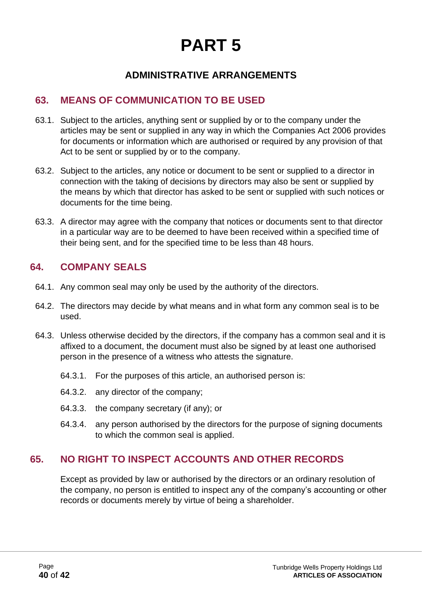# **PART 5**

# **ADMINISTRATIVE ARRANGEMENTS**

# <span id="page-39-1"></span><span id="page-39-0"></span>**63. MEANS OF COMMUNICATION TO BE USED**

- 63.1. Subject to the articles, anything sent or supplied by or to the company under the articles may be sent or supplied in any way in which the Companies Act 2006 provides for documents or information which are authorised or required by any provision of that Act to be sent or supplied by or to the company.
- 63.2. Subject to the articles, any notice or document to be sent or supplied to a director in connection with the taking of decisions by directors may also be sent or supplied by the means by which that director has asked to be sent or supplied with such notices or documents for the time being.
- 63.3. A director may agree with the company that notices or documents sent to that director in a particular way are to be deemed to have been received within a specified time of their being sent, and for the specified time to be less than 48 hours.

#### <span id="page-39-2"></span>**64. COMPANY SEALS**

- 64.1. Any common seal may only be used by the authority of the directors.
- 64.2. The directors may decide by what means and in what form any common seal is to be used.
- 64.3. Unless otherwise decided by the directors, if the company has a common seal and it is affixed to a document, the document must also be signed by at least one authorised person in the presence of a witness who attests the signature.
	- 64.3.1. For the purposes of this article, an authorised person is:
	- 64.3.2. any director of the company;
	- 64.3.3. the company secretary (if any); or
	- 64.3.4. any person authorised by the directors for the purpose of signing documents to which the common seal is applied.

#### <span id="page-39-3"></span>**65. NO RIGHT TO INSPECT ACCOUNTS AND OTHER RECORDS**

Except as provided by law or authorised by the directors or an ordinary resolution of the company, no person is entitled to inspect any of the company's accounting or other records or documents merely by virtue of being a shareholder.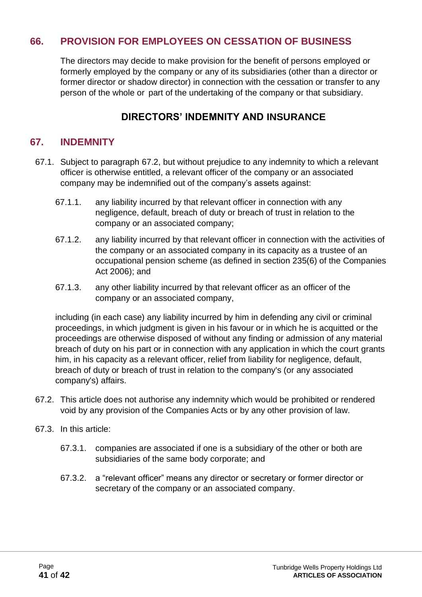# <span id="page-40-0"></span>**66. PROVISION FOR EMPLOYEES ON CESSATION OF BUSINESS**

The directors may decide to make provision for the benefit of persons employed or formerly employed by the company or any of its subsidiaries (other than a director or former director or shadow director) in connection with the cessation or transfer to any person of the whole or part of the undertaking of the company or that subsidiary.

#### **DIRECTORS' INDEMNITY AND INSURANCE**

#### <span id="page-40-1"></span>**67. INDEMNITY**

- 67.1. Subject to paragraph 67.2, but without prejudice to any indemnity to which a relevant officer is otherwise entitled, a relevant officer of the company or an associated company may be indemnified out of the company's assets against:
	- 67.1.1. any liability incurred by that relevant officer in connection with any negligence, default, breach of duty or breach of trust in relation to the company or an associated company;
	- 67.1.2. any liability incurred by that relevant officer in connection with the activities of the company or an associated company in its capacity as a trustee of an occupational pension scheme (as defined in section 235(6) of the Companies Act 2006); and
	- 67.1.3. any other liability incurred by that relevant officer as an officer of the company or an associated company,

including (in each case) any liability incurred by him in defending any civil or criminal proceedings, in which judgment is given in his favour or in which he is acquitted or the proceedings are otherwise disposed of without any finding or admission of any material breach of duty on his part or in connection with any application in which the court grants him, in his capacity as a relevant officer, relief from liability for negligence, default, breach of duty or breach of trust in relation to the company's (or any associated company's) affairs.

- 67.2. This article does not authorise any indemnity which would be prohibited or rendered void by any provision of the Companies Acts or by any other provision of law.
- 67.3. In this article:
	- 67.3.1. companies are associated if one is a subsidiary of the other or both are subsidiaries of the same body corporate; and
	- 67.3.2. a "relevant officer" means any director or secretary or former director or secretary of the company or an associated company.